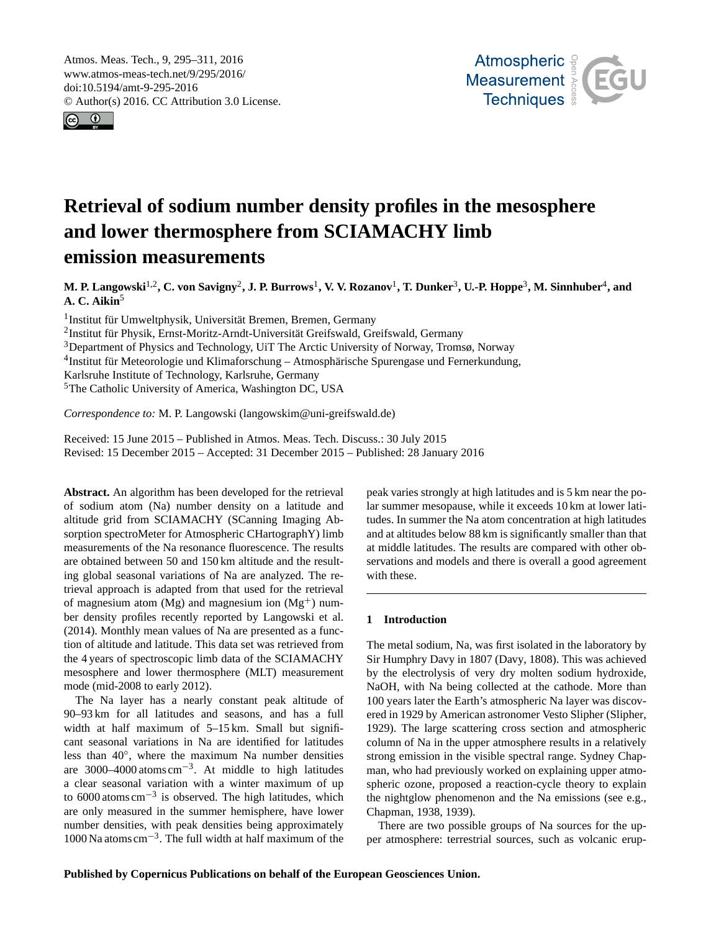<span id="page-0-1"></span>Atmos. Meas. Tech., 9, 295–311, 2016 www.atmos-meas-tech.net/9/295/2016/ doi:10.5194/amt-9-295-2016 © Author(s) 2016. CC Attribution 3.0 License.





# **Retrieval of sodium number density profiles in the mesosphere and lower thermosphere from SCIAMACHY limb emission measurements**

**M. P. Langowski**[1,2](#page-0-0) **, C. von Savigny**[2](#page-0-0) **, J. P. Burrows**[1](#page-0-0) **, V. V. Rozanov**[1](#page-0-0) **, T. Dunker**[3](#page-0-0) **, U.-P. Hoppe**[3](#page-0-0) **, M. Sinnhuber**[4](#page-0-0) **, and A. C. Aikin**[5](#page-0-0)

1 Institut für Umweltphysik, Universität Bremen, Bremen, Germany

2 Institut für Physik, Ernst-Moritz-Arndt-Universität Greifswald, Greifswald, Germany

<sup>3</sup>Department of Physics and Technology, UiT The Arctic University of Norway, Tromsø, Norway

<sup>4</sup>Institut für Meteorologie und Klimaforschung - Atmosphärische Spurengase und Fernerkundung,

Karlsruhe Institute of Technology, Karlsruhe, Germany

<sup>5</sup>The Catholic University of America, Washington DC, USA

*Correspondence to:* M. P. Langowski (langowskim@uni-greifswald.de)

Received: 15 June 2015 – Published in Atmos. Meas. Tech. Discuss.: 30 July 2015 Revised: 15 December 2015 – Accepted: 31 December 2015 – Published: 28 January 2016

<span id="page-0-0"></span>**Abstract.** An algorithm has been developed for the retrieval of sodium atom (Na) number density on a latitude and altitude grid from SCIAMACHY (SCanning Imaging Absorption spectroMeter for Atmospheric CHartographY) limb measurements of the Na resonance fluorescence. The results are obtained between 50 and 150 km altitude and the resulting global seasonal variations of Na are analyzed. The retrieval approach is adapted from that used for the retrieval of magnesium atom (Mg) and magnesium ion  $(Mg<sup>+</sup>)$  number density profiles recently reported by [Langowski et al.](#page-15-0) [\(2014\)](#page-15-0). Monthly mean values of Na are presented as a function of altitude and latitude. This data set was retrieved from the 4 years of spectroscopic limb data of the SCIAMACHY mesosphere and lower thermosphere (MLT) measurement mode (mid-2008 to early 2012).

The Na layer has a nearly constant peak altitude of 90–93 km for all latitudes and seasons, and has a full width at half maximum of  $5-15$  km. Small but significant seasonal variations in Na are identified for latitudes less than 40◦ , where the maximum Na number densities are 3000–4000 atoms  $cm^{-3}$ . At middle to high latitudes a clear seasonal variation with a winter maximum of up to  $6000$  atoms cm<sup>-3</sup> is observed. The high latitudes, which are only measured in the summer hemisphere, have lower number densities, with peak densities being approximately 1000 Na atoms cm−<sup>3</sup> . The full width at half maximum of the

peak varies strongly at high latitudes and is 5 km near the polar summer mesopause, while it exceeds 10 km at lower latitudes. In summer the Na atom concentration at high latitudes and at altitudes below 88 km is significantly smaller than that at middle latitudes. The results are compared with other observations and models and there is overall a good agreement with these.

# **1 Introduction**

The metal sodium, Na, was first isolated in the laboratory by Sir Humphry Davy in 1807 [\(Davy,](#page-15-1) [1808\)](#page-15-1). This was achieved by the electrolysis of very dry molten sodium hydroxide, NaOH, with Na being collected at the cathode. More than 100 years later the Earth's atmospheric Na layer was discovered in 1929 by American astronomer Vesto Slipher [\(Slipher,](#page-16-0) [1929\)](#page-16-0). The large scattering cross section and atmospheric column of Na in the upper atmosphere results in a relatively strong emission in the visible spectral range. Sydney Chapman, who had previously worked on explaining upper atmospheric ozone, proposed a reaction-cycle theory to explain the nightglow phenomenon and the Na emissions (see e.g., [Chapman,](#page-15-2) [1938,](#page-15-2) [1939\)](#page-15-3).

There are two possible groups of Na sources for the upper atmosphere: terrestrial sources, such as volcanic erup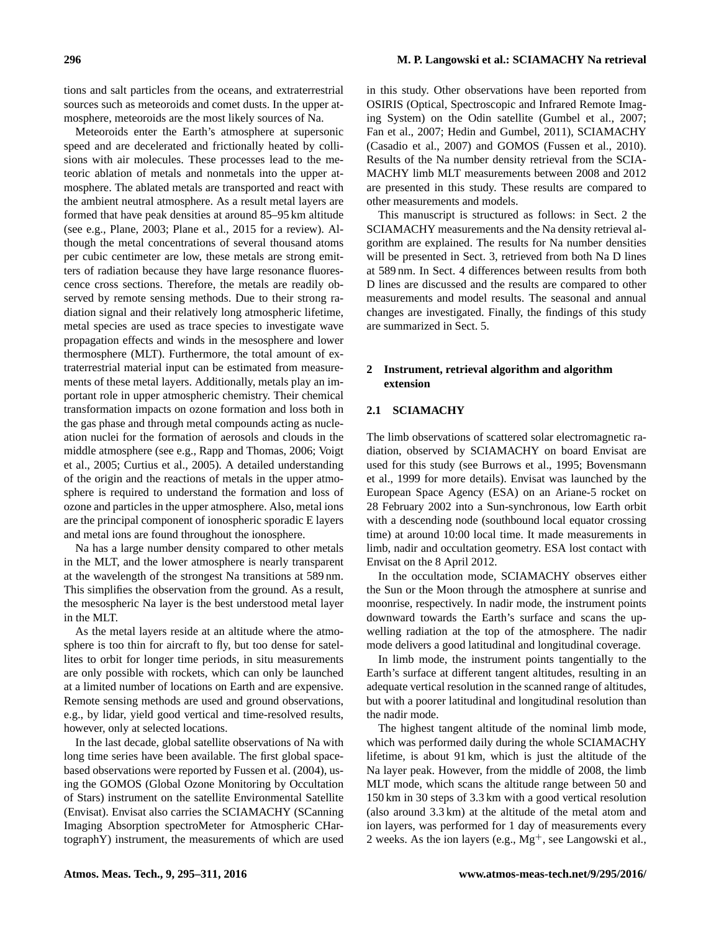tions and salt particles from the oceans, and extraterrestrial sources such as meteoroids and comet dusts. In the upper atmosphere, meteoroids are the most likely sources of Na.

Meteoroids enter the Earth's atmosphere at supersonic speed and are decelerated and frictionally heated by collisions with air molecules. These processes lead to the meteoric ablation of metals and nonmetals into the upper atmosphere. The ablated metals are transported and react with the ambient neutral atmosphere. As a result metal layers are formed that have peak densities at around 85–95 km altitude (see e.g., [Plane,](#page-16-1) [2003;](#page-16-1) [Plane et al.,](#page-16-2) [2015](#page-16-2) for a review). Although the metal concentrations of several thousand atoms per cubic centimeter are low, these metals are strong emitters of radiation because they have large resonance fluorescence cross sections. Therefore, the metals are readily observed by remote sensing methods. Due to their strong radiation signal and their relatively long atmospheric lifetime, metal species are used as trace species to investigate wave propagation effects and winds in the mesosphere and lower thermosphere (MLT). Furthermore, the total amount of extraterrestrial material input can be estimated from measurements of these metal layers. Additionally, metals play an important role in upper atmospheric chemistry. Their chemical transformation impacts on ozone formation and loss both in the gas phase and through metal compounds acting as nucleation nuclei for the formation of aerosols and clouds in the middle atmosphere (see e.g., [Rapp and Thomas,](#page-16-3) [2006;](#page-16-3) [Voigt](#page-16-4) [et al.,](#page-16-4) [2005;](#page-16-4) [Curtius et al.,](#page-15-4) [2005\)](#page-15-4). A detailed understanding of the origin and the reactions of metals in the upper atmosphere is required to understand the formation and loss of ozone and particles in the upper atmosphere. Also, metal ions are the principal component of ionospheric sporadic E layers and metal ions are found throughout the ionosphere.

Na has a large number density compared to other metals in the MLT, and the lower atmosphere is nearly transparent at the wavelength of the strongest Na transitions at 589 nm. This simplifies the observation from the ground. As a result, the mesospheric Na layer is the best understood metal layer in the MLT.

As the metal layers reside at an altitude where the atmosphere is too thin for aircraft to fly, but too dense for satellites to orbit for longer time periods, in situ measurements are only possible with rockets, which can only be launched at a limited number of locations on Earth and are expensive. Remote sensing methods are used and ground observations, e.g., by lidar, yield good vertical and time-resolved results, however, only at selected locations.

In the last decade, global satellite observations of Na with long time series have been available. The first global spacebased observations were reported by [Fussen et al.](#page-15-5) [\(2004\)](#page-15-5), using the GOMOS (Global Ozone Monitoring by Occultation of Stars) instrument on the satellite Environmental Satellite (Envisat). Envisat also carries the SCIAMACHY (SCanning Imaging Absorption spectroMeter for Atmospheric CHartographY) instrument, the measurements of which are used in this study. Other observations have been reported from OSIRIS (Optical, Spectroscopic and Infrared Remote Imaging System) on the Odin satellite [\(Gumbel et al.,](#page-15-6) [2007;](#page-15-6) [Fan et al.,](#page-15-7) [2007;](#page-15-7) [Hedin and Gumbel,](#page-15-8) [2011\)](#page-15-8), SCIAMACHY [\(Casadio et al.,](#page-15-9) [2007\)](#page-15-9) and GOMOS [\(Fussen et al.,](#page-15-10) [2010\)](#page-15-10). Results of the Na number density retrieval from the SCIA-MACHY limb MLT measurements between 2008 and 2012 are presented in this study. These results are compared to other measurements and models.

This manuscript is structured as follows: in Sect. [2](#page-1-0) the SCIAMACHY measurements and the Na density retrieval algorithm are explained. The results for Na number densities will be presented in Sect. [3,](#page-10-0) retrieved from both Na D lines at 589 nm. In Sect. [4](#page-12-0) differences between results from both D lines are discussed and the results are compared to other measurements and model results. The seasonal and annual changes are investigated. Finally, the findings of this study are summarized in Sect. [5.](#page-14-0)

# <span id="page-1-0"></span>**2 Instrument, retrieval algorithm and algorithm extension**

## **2.1 SCIAMACHY**

The limb observations of scattered solar electromagnetic radiation, observed by SCIAMACHY on board Envisat are used for this study (see [Burrows et al.,](#page-15-11) [1995;](#page-15-11) [Bovensmann](#page-15-12) [et al.,](#page-15-12) [1999](#page-15-12) for more details). Envisat was launched by the European Space Agency (ESA) on an Ariane-5 rocket on 28 February 2002 into a Sun-synchronous, low Earth orbit with a descending node (southbound local equator crossing time) at around 10:00 local time. It made measurements in limb, nadir and occultation geometry. ESA lost contact with Envisat on the 8 April 2012.

In the occultation mode, SCIAMACHY observes either the Sun or the Moon through the atmosphere at sunrise and moonrise, respectively. In nadir mode, the instrument points downward towards the Earth's surface and scans the upwelling radiation at the top of the atmosphere. The nadir mode delivers a good latitudinal and longitudinal coverage.

In limb mode, the instrument points tangentially to the Earth's surface at different tangent altitudes, resulting in an adequate vertical resolution in the scanned range of altitudes, but with a poorer latitudinal and longitudinal resolution than the nadir mode.

The highest tangent altitude of the nominal limb mode, which was performed daily during the whole SCIAMACHY lifetime, is about 91 km, which is just the altitude of the Na layer peak. However, from the middle of 2008, the limb MLT mode, which scans the altitude range between 50 and 150 km in 30 steps of 3.3 km with a good vertical resolution (also around 3.3 km) at the altitude of the metal atom and ion layers, was performed for 1 day of measurements every 2 weeks. As the ion layers (e.g.,  $Mg^+$ , see [Langowski et al.,](#page-16-5)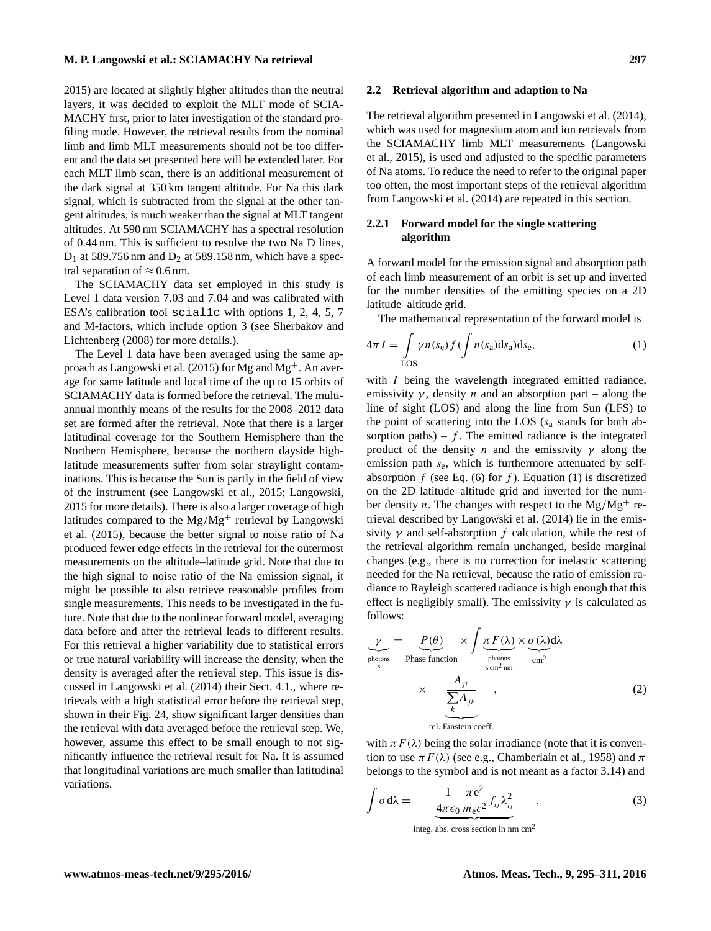[2015\)](#page-16-5) are located at slightly higher altitudes than the neutral layers, it was decided to exploit the MLT mode of SCIA-MACHY first, prior to later investigation of the standard profiling mode. However, the retrieval results from the nominal limb and limb MLT measurements should not be too different and the data set presented here will be extended later. For each MLT limb scan, there is an additional measurement of the dark signal at 350 km tangent altitude. For Na this dark signal, which is subtracted from the signal at the other tangent altitudes, is much weaker than the signal at MLT tangent altitudes. At 590 nm SCIAMACHY has a spectral resolution of 0.44 nm. This is sufficient to resolve the two Na D lines,  $D_1$  at 589.756 nm and  $D_2$  at 589.158 nm, which have a spectral separation of  $\approx 0.6$  nm.

The SCIAMACHY data set employed in this study is Level 1 data version 7.03 and 7.04 and was calibrated with ESA's calibration tool scial1c with options 1, 2, 4, 5, 7 and M-factors, which include option 3 (see [Sherbakov and](#page-16-6) [Lichtenberg](#page-16-6) [\(2008\)](#page-16-6) for more details.).

The Level 1 data have been averaged using the same ap-proach as [Langowski et al.](#page-16-5) [\(2015\)](#page-16-5) for Mg and  $Mg<sup>+</sup>$ . An average for same latitude and local time of the up to 15 orbits of SCIAMACHY data is formed before the retrieval. The multiannual monthly means of the results for the 2008–2012 data set are formed after the retrieval. Note that there is a larger latitudinal coverage for the Southern Hemisphere than the Northern Hemisphere, because the northern dayside highlatitude measurements suffer from solar straylight contaminations. This is because the Sun is partly in the field of view of the instrument (see [Langowski et al.,](#page-16-5) [2015;](#page-16-5) [Langowski,](#page-15-13) [2015](#page-15-13) for more details). There is also a larger coverage of high latitudes compared to the  $Mg/Mg^+$  retrieval by [Langowski](#page-16-5) [et al.](#page-16-5) [\(2015\)](#page-16-5), because the better signal to noise ratio of Na produced fewer edge effects in the retrieval for the outermost measurements on the altitude–latitude grid. Note that due to the high signal to noise ratio of the Na emission signal, it might be possible to also retrieve reasonable profiles from single measurements. This needs to be investigated in the future. Note that due to the nonlinear forward model, averaging data before and after the retrieval leads to different results. For this retrieval a higher variability due to statistical errors or true natural variability will increase the density, when the density is averaged after the retrieval step. This issue is discussed in [Langowski et al.](#page-15-0) [\(2014\)](#page-15-0) their Sect. 4.1., where retrievals with a high statistical error before the retrieval step, shown in their Fig. 24, show significant larger densities than the retrieval with data averaged before the retrieval step. We, however, assume this effect to be small enough to not significantly influence the retrieval result for Na. It is assumed that longitudinal variations are much smaller than latitudinal variations.

#### **2.2 Retrieval algorithm and adaption to Na**

The retrieval algorithm presented in [Langowski et al.](#page-15-0) [\(2014\)](#page-15-0), which was used for magnesium atom and ion retrievals from the SCIAMACHY limb MLT measurements [\(Langowski](#page-16-5) [et al.,](#page-16-5) [2015\)](#page-16-5), is used and adjusted to the specific parameters of Na atoms. To reduce the need to refer to the original paper too often, the most important steps of the retrieval algorithm from [Langowski et al.](#page-15-0) [\(2014\)](#page-15-0) are repeated in this section.

# **2.2.1 Forward model for the single scattering algorithm**

A forward model for the emission signal and absorption path of each limb measurement of an orbit is set up and inverted for the number densities of the emitting species on a 2D latitude–altitude grid.

<span id="page-2-0"></span>The mathematical representation of the forward model is

$$
4\pi I = \int_{\text{LOS}} \gamma n(s_e) f(\int n(s_a) \, \text{d} s_a) \, \text{d} s_e,\tag{1}
$$

with *I* being the wavelength integrated emitted radiance, emissivity  $\gamma$ , density *n* and an absorption part – along the line of sight (LOS) and along the line from Sun (LFS) to the point of scattering into the LOS  $(s_a$  stands for both absorption paths) –  $f$ . The emitted radiance is the integrated product of the density n and the emissivity  $\gamma$  along the emission path  $s_e$ , which is furthermore attenuated by self-absorption f (see Eq. [\(6\)](#page-4-0) for f). Equation [\(1\)](#page-2-0) is discretized on the 2D latitude–altitude grid and inverted for the number density *n*. The changes with respect to the Mg/Mg<sup>+</sup> retrieval described by [Langowski et al.](#page-15-0) [\(2014\)](#page-15-0) lie in the emissivity  $\gamma$  and self-absorption f calculation, while the rest of the retrieval algorithm remain unchanged, beside marginal changes (e.g., there is no correction for inelastic scattering needed for the Na retrieval, because the ratio of emission radiance to Rayleigh scattered radiance is high enough that this effect is negligibly small). The emissivity  $\gamma$  is calculated as follows:

$$
\underbrace{\gamma}_{\text{photons}} = \underbrace{P(\theta)}_{\text{Phase function}} \times \int \underbrace{\pi F(\lambda)}_{\text{photons}} \times \underbrace{\sigma(\lambda)}_{\text{cm}^2 \text{ and } \text{cm}^2}
$$
\n
$$
\times \underbrace{\frac{A_{ji}}{\sum_{k} A_{jk}}}_{\text{rel. Einstein coeff.}},
$$
\n(2)

with  $\pi F(\lambda)$  being the solar irradiance (note that it is convention to use  $\pi F(\lambda)$  (see e.g., [Chamberlain et al.,](#page-15-14) [1958\)](#page-15-14) and  $\pi$ belongs to the symbol and is not meant as a factor 3.14) and

$$
\int \sigma d\lambda = \frac{1}{4\pi\epsilon_0} \frac{\pi e^2}{m_e c^2} f_{ij} \lambda_{ij}^2
$$
 (3)

<span id="page-2-2"></span><span id="page-2-1"></span> $\overline{\text{integer}}$  abs. cross section in nm cm<sup>2</sup>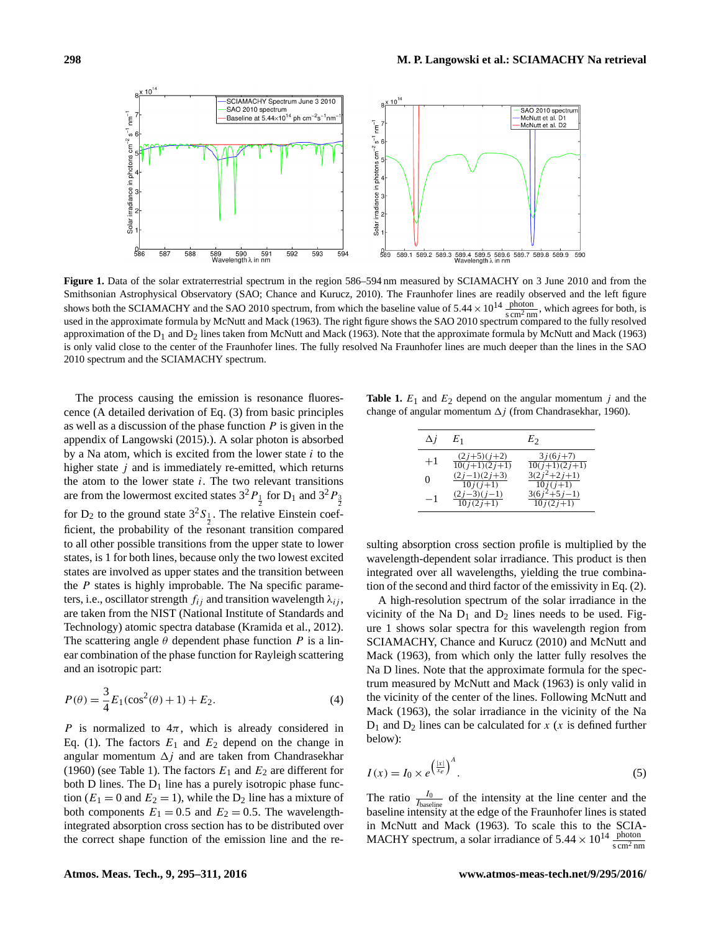<span id="page-3-1"></span>

**Figure 1.** Data of the solar extraterrestrial spectrum in the region 586–594 nm measured by SCIAMACHY on 3 June 2010 and from the Smithsonian Astrophysical Observatory (SAO; [Chance and Kurucz,](#page-15-15) [2010\)](#page-15-15). The Fraunhofer lines are readily observed and the left figure shows both the SCIAMACHY and the SAO 2010 spectrum, from which the baseline value of  $5.44 \times 10^{14} \frac{\text{photon}}{\text{sem}^2 \text{nm}}$ , which agrees for both, is used in the approximate formula by [McNutt and Mack](#page-16-7) [\(1963\)](#page-16-7). The right figure shows the SAO 2010 spectrum compared to the fully resolved approximation of the  $D_1$  and  $D_2$  lines taken from [McNutt and Mack](#page-16-7) [\(1963\)](#page-16-7). Note that the approximate formula by McNutt and Mack (1963) is only valid close to the center of the Fraunhofer lines. The fully resolved Na Fraunhofer lines are much deeper than the lines in the SAO 2010 spectrum and the SCIAMACHY spectrum.

The process causing the emission is resonance fluorescence (A detailed derivation of Eq. [\(3\)](#page-2-1) from basic principles as well as a discussion of the phase function  $P$  is given in the appendix of [Langowski](#page-15-13) [\(2015\)](#page-15-13).). A solar photon is absorbed by a Na atom, which is excited from the lower state  $i$  to the higher state  $j$  and is immediately re-emitted, which returns the atom to the lower state  $i$ . The two relevant transitions are from the lowermost excited states  $3^{2}P_{\frac{1}{2}}$  for D<sub>1</sub> and  $3^{2}P_{\frac{3}{2}}$ for  $D_2$  to the ground state  $3^2S_{\frac{1}{2}}$ . The relative Einstein coefficient, the probability of the resonant transition compared to all other possible transitions from the upper state to lower states, is 1 for both lines, because only the two lowest excited states are involved as upper states and the transition between the  $P$  states is highly improbable. The Na specific parameters, i.e., oscillator strength  $f_{ij}$  and transition wavelength  $\lambda_{ij}$ , are taken from the NIST (National Institute of Standards and Technology) atomic spectra database [\(Kramida et al.,](#page-15-16) [2012\)](#page-15-16). The scattering angle  $\theta$  dependent phase function P is a linear combination of the phase function for Rayleigh scattering and an isotropic part:

<span id="page-3-2"></span>
$$
P(\theta) = \frac{3}{4}E_1(\cos^2(\theta) + 1) + E_2.
$$
 (4)

P is normalized to  $4\pi$ , which is already considered in Eq. [\(1\)](#page-2-0). The factors  $E_1$  and  $E_2$  depend on the change in angular momentum  $\Delta j$  and are taken from [Chandrasekhar](#page-15-17) [\(1960\)](#page-15-17) (see Table [1\)](#page-3-0). The factors  $E_1$  and  $E_2$  are different for both D lines. The  $D_1$  line has a purely isotropic phase function ( $E_1 = 0$  and  $E_2 = 1$ ), while the  $D_2$  line has a mixture of both components  $E_1 = 0.5$  and  $E_2 = 0.5$ . The wavelengthintegrated absorption cross section has to be distributed over the correct shape function of the emission line and the re-

<span id="page-3-0"></span>**Table 1.**  $E_1$  and  $E_2$  depend on the angular momentum j and the change of angular momentum  $\Delta j$  (from [Chandrasekhar,](#page-15-17) [1960\)](#page-15-17).

| Δi   | $E_1$                            | $E_2$                                    |
|------|----------------------------------|------------------------------------------|
| $+1$ | $(2j+5)(j+2)$<br>$10(j+1)(2j+1)$ | $3j(6j+7)$<br>$10(j+1)(2j+1)$            |
| 0    | $(2j-1)(2j+3)$<br>$10j(j+1)$     | $3(2j^2+2j+1)$<br>$10j(j+1)$             |
| -1   | $(2j-3)(j-1)$<br>$10j(2j+1)$     | $3(6j^2+5j-1)$<br>$\overline{10j(2j+1)}$ |

sulting absorption cross section profile is multiplied by the wavelength-dependent solar irradiance. This product is then integrated over all wavelengths, yielding the true combination of the second and third factor of the emissivity in Eq. [\(2\)](#page-2-2).

A high-resolution spectrum of the solar irradiance in the vicinity of the Na  $D_1$  and  $D_2$  lines needs to be used. Figure [1](#page-3-1) shows solar spectra for this wavelength region from SCIAMACHY, [Chance and Kurucz](#page-15-15) [\(2010\)](#page-15-15) and [McNutt and](#page-16-7) [Mack](#page-16-7) [\(1963\)](#page-16-7), from which only the latter fully resolves the Na D lines. Note that the approximate formula for the spectrum measured by [McNutt and Mack](#page-16-7) [\(1963\)](#page-16-7) is only valid in the vicinity of the center of the lines. Following [McNutt and](#page-16-7) [Mack](#page-16-7) [\(1963\)](#page-16-7), the solar irradiance in the vicinity of the Na  $D_1$  and  $D_2$  lines can be calculated for x (x is defined further below):

$$
I(x) = I_0 \times e^{\left(\frac{|x|}{x_e}\right)^A}.
$$
 (5)

The ratio  $\frac{I_0}{I_{\text{baseline}}}$  of the intensity at the line center and the baseline intensity at the edge of the Fraunhofer lines is stated in [McNutt and Mack](#page-16-7) [\(1963\)](#page-16-7). To scale this to the SCIA-MACHY spectrum, a solar irradiance of  $5.44 \times 10^{14} \frac{\text{photon}}{\text{s cm}^2 \text{nm}}$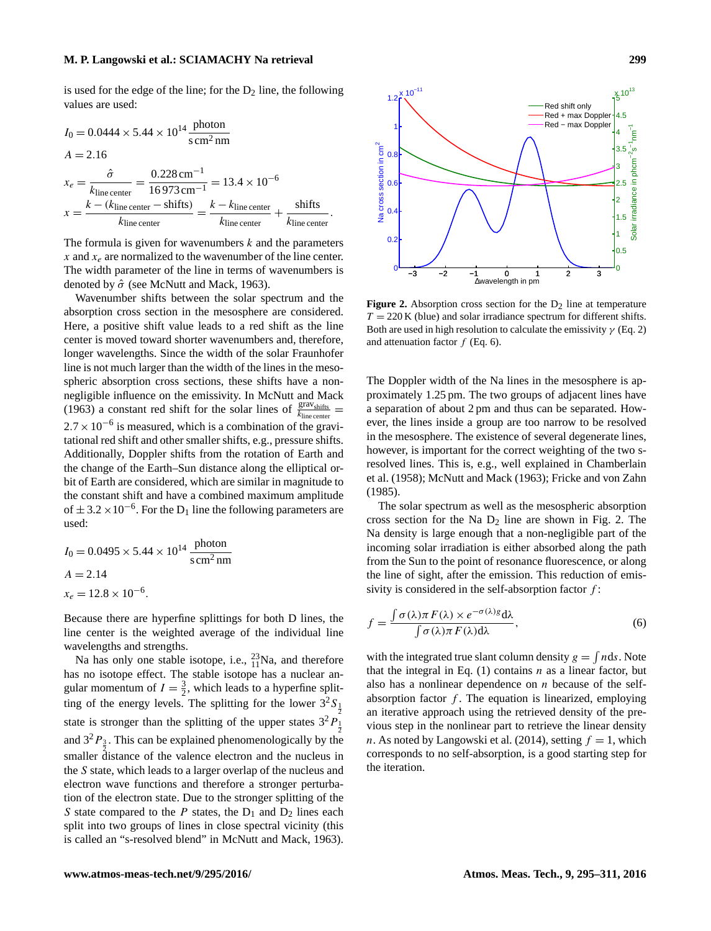#### **M. P. Langowski et al.: SCIAMACHY Na retrieval 299**

is used for the edge of the line; for the  $D_2$  line, the following values are used:

$$
I_0 = 0.0444 \times 5.44 \times 10^{14} \frac{\text{photon}}{\text{s cm}^2 \text{ nm}}
$$
  
\n
$$
A = 2.16
$$
  
\n
$$
x_e = \frac{\hat{\sigma}}{k_{\text{line center}}} = \frac{0.228 \text{ cm}^{-1}}{16973 \text{ cm}^{-1}} = 13.4 \times 10^{-6}
$$
  
\n
$$
x = \frac{k - (k_{\text{line center}} - \text{shifts})}{k_{\text{line center}}} = \frac{k - k_{\text{line center}}}{k_{\text{line center}}} + \frac{\text{shifts}}{k_{\text{line center}}}.
$$

The formula is given for wavenumbers  $k$  and the parameters x and  $x_e$  are normalized to the wavenumber of the line center. The width parameter of the line in terms of wavenumbers is denoted by  $\hat{\sigma}$  (see [McNutt and Mack,](#page-16-7) [1963\)](#page-16-7).

Wavenumber shifts between the solar spectrum and the absorption cross section in the mesosphere are considered. Here, a positive shift value leads to a red shift as the line center is moved toward shorter wavenumbers and, therefore, longer wavelengths. Since the width of the solar Fraunhofer line is not much larger than the width of the lines in the mesospheric absorption cross sections, these shifts have a nonnegligible influence on the emissivity. In [McNutt and Mack](#page-16-7) [\(1963\)](#page-16-7) a constant red shift for the solar lines of  $\frac{\text{grav}_{\text{shifts}}}{k_{\text{line center}}}$  $2.7 \times 10^{-6}$  is measured, which is a combination of the gravitational red shift and other smaller shifts, e.g., pressure shifts. Additionally, Doppler shifts from the rotation of Earth and the change of the Earth–Sun distance along the elliptical orbit of Earth are considered, which are similar in magnitude to the constant shift and have a combined maximum amplitude of  $\pm 3.2 \times 10^{-6}$ . For the D<sub>1</sub> line the following parameters are used:

$$
I_0 = 0.0495 \times 5.44 \times 10^{14} \frac{\text{photon}}{\text{s cm}^2 \text{ nm}}
$$
  

$$
A = 2.14
$$
  

$$
x_e = 12.8 \times 10^{-6}.
$$

Because there are hyperfine splittings for both D lines, the line center is the weighted average of the individual line wavelengths and strengths.

Na has only one stable isotope, i.e.,  $^{23}_{11}$ Na, and therefore has no isotope effect. The stable isotope has a nuclear angular momentum of  $I = \frac{3}{2}$ , which leads to a hyperfine splitting of the energy levels. The splitting for the lower  $3^{2}S_{\frac{1}{2}}$ state is stronger than the splitting of the upper states  $3^{2}P_{\frac{1}{2}}^{2}$ and  $3^2P_3$ . This can be explained phenomenologically by the smaller distance of the valence electron and the nucleus in the S state, which leads to a larger overlap of the nucleus and electron wave functions and therefore a stronger perturbation of the electron state. Due to the stronger splitting of the S state compared to the  $P$  states, the  $D_1$  and  $D_2$  lines each split into two groups of lines in close spectral vicinity (this is called an "s-resolved blend" in [McNutt and Mack,](#page-16-7) [1963\)](#page-16-7).

<span id="page-4-1"></span>

**Figure 2.** Absorption cross section for the  $D_2$  line at temperature  $T = 220$  K (blue) and solar irradiance spectrum for different shifts. Both are used in high resolution to calculate the emissivity  $\gamma$  (Eq. [2\)](#page-2-2) and attenuation factor  $f$  (Eq. [6\)](#page-4-0).

The Doppler width of the Na lines in the mesosphere is approximately 1.25 pm. The two groups of adjacent lines have a separation of about 2 pm and thus can be separated. However, the lines inside a group are too narrow to be resolved in the mesosphere. The existence of several degenerate lines, however, is important for the correct weighting of the two sresolved lines. This is, e.g., well explained in [Chamberlain](#page-15-14) [et al.](#page-15-14) [\(1958\)](#page-15-14); [McNutt and Mack](#page-16-7) [\(1963\)](#page-16-7); [Fricke and von Zahn](#page-15-18) [\(1985\)](#page-15-18).

The solar spectrum as well as the mesospheric absorption cross section for the Na  $D_2$  line are shown in Fig. [2.](#page-4-1) The Na density is large enough that a non-negligible part of the incoming solar irradiation is either absorbed along the path from the Sun to the point of resonance fluorescence, or along the line of sight, after the emission. This reduction of emissivity is considered in the self-absorption factor  $f$ :

<span id="page-4-0"></span>
$$
f = \frac{\int \sigma(\lambda)\pi F(\lambda) \times e^{-\sigma(\lambda)} \, d\lambda}{\int \sigma(\lambda)\pi F(\lambda) \, d\lambda},\tag{6}
$$

with the integrated true slant column density  $g = \int n ds$ . Note that the integral in Eq.  $(1)$  contains *n* as a linear factor, but also has a nonlinear dependence on  $n$  because of the selfabsorption factor  $f$ . The equation is linearized, employing an iterative approach using the retrieved density of the previous step in the nonlinear part to retrieve the linear density n. As noted by [Langowski et al.](#page-15-0) [\(2014\)](#page-15-0), setting  $f = 1$ , which corresponds to no self-absorption, is a good starting step for the iteration.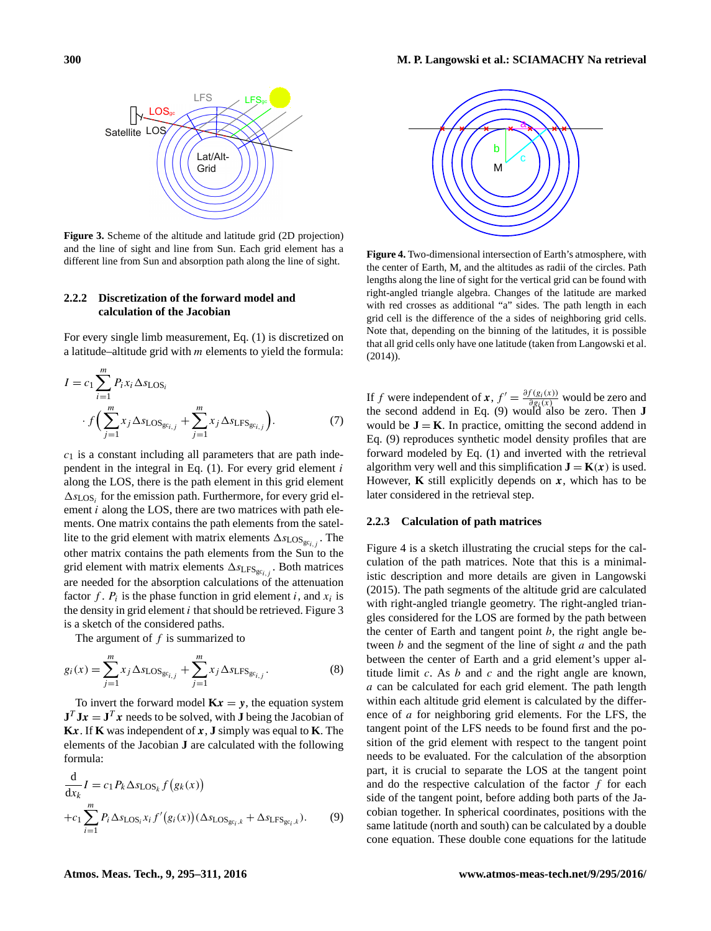**Figure 3.** Scheme of the altitude and latitude grid (2D projection) and the line of sight and line from Sun. Each grid element has a different line from Sun and absorption path along the line of sight.

Lat/Alt-Grid

 $LFS_{gc}$ 

LFS

# **2.2.2 Discretization of the forward model and calculation of the Jacobian**

<span id="page-5-0"></span>Satellite LOS / /

LOS

For every single limb measurement, Eq. [\(1\)](#page-2-0) is discretized on a latitude–altitude grid with  $m$  elements to yield the formula:

$$
I = c_1 \sum_{i=1}^{m} P_i x_i \Delta s_{\text{LOS}_i} + \sum_{j=1}^{m} x_j \Delta s_{\text{LOS}_{\text{gc}_{i,j}}} + \sum_{j=1}^{m} x_j \Delta s_{\text{LFS}_{\text{gc}_{i,j}}}
$$
 (7)

 $c_1$  is a constant including all parameters that are path independent in the integral in Eq.  $(1)$ . For every grid element i along the LOS, there is the path element in this grid element  $\Delta s_{\text{LOS}_i}$  for the emission path. Furthermore, for every grid element  $i$  along the LOS, there are two matrices with path elements. One matrix contains the path elements from the satellite to the grid element with matrix elements  $\Delta s_{\text{LOS}_{g_{c_{i,j}}}}$ . The other matrix contains the path elements from the Sun to the grid element with matrix elements  $\Delta s_{LFS_{gc_{i,j}}}$ . Both matrices are needed for the absorption calculations of the attenuation factor f.  $P_i$  is the phase function in grid element i, and  $x_i$  is the density in grid element  $i$  that should be retrieved. Figure [3](#page-5-0) is a sketch of the considered paths.

The argument of  $f$  is summarized to

$$
g_i(x) = \sum_{j=1}^{m} x_j \Delta s_{\text{LOS}_{g c_{i,j}}} + \sum_{j=1}^{m} x_j \Delta s_{\text{LFS}_{g c_{i,j}}}.
$$
 (8)

To invert the forward model  $Kx = y$ , the equation system  $J^T J x = J^T x$  needs to be solved, with **J** being the Jacobian of **K**x. If **K** was independent of  $x$ , **J** simply was equal to **K**. The elements of the Jacobian **J** are calculated with the following formula:

$$
\frac{d}{dx_k}I = c_1 P_k \Delta s_{\text{LOS}_k} f(g_k(x))
$$
  
+
$$
c_1 \sum_{i=1}^m P_i \Delta s_{\text{LOS}_i} x_i f'(g_i(x)) (\Delta s_{\text{LOS}_{g c_i, k}} + \Delta s_{\text{LFS}_{g c_i, k}}).
$$
 (9)

<span id="page-5-2"></span>

**Figure 4.** Two-dimensional intersection of Earth's atmosphere, with the center of Earth, M, and the altitudes as radii of the circles. Path lengths along the line of sight for the vertical grid can be found with right-angled triangle algebra. Changes of the latitude are marked with red crosses as additional "a" sides. The path length in each grid cell is the difference of the a sides of neighboring grid cells. Note that, depending on the binning of the latitudes, it is possible that all grid cells only have one latitude (taken from [Langowski et al.](#page-15-0) [\(2014\)](#page-15-0)).

If f were independent of  $\mathbf{x}$ ,  $f' = \frac{\partial f(g_i(x))}{\partial g_i(x)}$  would be zero and the second addend in Eq. [\(9\)](#page-5-1) would also be zero. Then **J** would be  $J = K$ . In practice, omitting the second addend in Eq. [\(9\)](#page-5-1) reproduces synthetic model density profiles that are forward modeled by Eq. [\(1\)](#page-2-0) and inverted with the retrieval algorithm very well and this simplification  $\mathbf{J} = \mathbf{K}(x)$  is used. However, **K** still explicitly depends on  $x$ , which has to be later considered in the retrieval step.

#### **2.2.3 Calculation of path matrices**

<span id="page-5-1"></span>Figure [4](#page-5-2) is a sketch illustrating the crucial steps for the calculation of the path matrices. Note that this is a minimalistic description and more details are given in [Langowski](#page-15-13) [\(2015\)](#page-15-13). The path segments of the altitude grid are calculated with right-angled triangle geometry. The right-angled triangles considered for the LOS are formed by the path between the center of Earth and tangent point  $b$ , the right angle between  $b$  and the segment of the line of sight  $a$  and the path between the center of Earth and a grid element's upper altitude limit  $c$ . As  $b$  and  $c$  and the right angle are known, a can be calculated for each grid element. The path length within each altitude grid element is calculated by the difference of *a* for neighboring grid elements. For the LFS, the tangent point of the LFS needs to be found first and the position of the grid element with respect to the tangent point needs to be evaluated. For the calculation of the absorption part, it is crucial to separate the LOS at the tangent point and do the respective calculation of the factor  $f$  for each side of the tangent point, before adding both parts of the Jacobian together. In spherical coordinates, positions with the same latitude (north and south) can be calculated by a double cone equation. These double cone equations for the latitude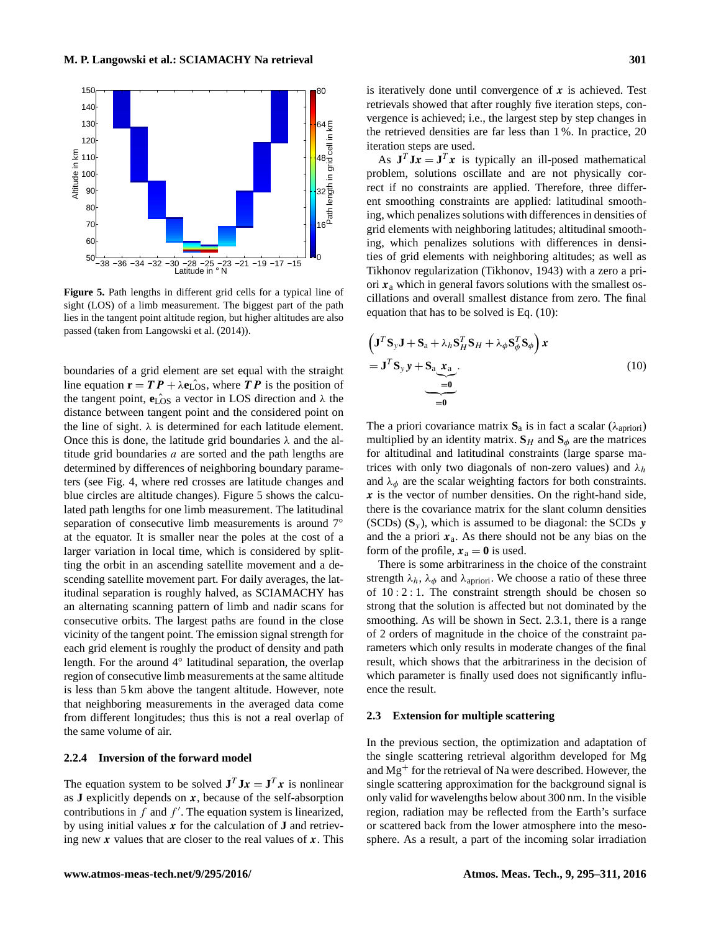<span id="page-6-0"></span>

**Figure 5.** Path lengths in different grid cells for a typical line of sight (LOS) of a limb measurement. The biggest part of the path lies in the tangent point altitude region, but higher altitudes are also passed (taken from [Langowski et al.](#page-15-0) [\(2014\)](#page-15-0)).

boundaries of a grid element are set equal with the straight line equation  $\mathbf{r} = T P + \lambda \mathbf{e}_{\text{LOS}}$ , where T P is the position of the tangent point,  $\hat{\mathbf{e}}_{\text{LOS}}$  a vector in LOS direction and  $\lambda$  the distance between tangent point and the considered point on the line of sight.  $\lambda$  is determined for each latitude element. Once this is done, the latitude grid boundaries  $\lambda$  and the altitude grid boundaries  $a$  are sorted and the path lengths are determined by differences of neighboring boundary parameters (see Fig. [4,](#page-5-2) where red crosses are latitude changes and blue circles are altitude changes). Figure [5](#page-6-0) shows the calculated path lengths for one limb measurement. The latitudinal separation of consecutive limb measurements is around 7<sup>°</sup> at the equator. It is smaller near the poles at the cost of a larger variation in local time, which is considered by splitting the orbit in an ascending satellite movement and a descending satellite movement part. For daily averages, the latitudinal separation is roughly halved, as SCIAMACHY has an alternating scanning pattern of limb and nadir scans for consecutive orbits. The largest paths are found in the close vicinity of the tangent point. The emission signal strength for each grid element is roughly the product of density and path length. For the around 4° latitudinal separation, the overlap region of consecutive limb measurements at the same altitude is less than 5 km above the tangent altitude. However, note that neighboring measurements in the averaged data come from different longitudes; thus this is not a real overlap of the same volume of air.

# **2.2.4 Inversion of the forward model**

The equation system to be solved  $J^T J x = J^T x$  is nonlinear as  $J$  explicitly depends on  $x$ , because of the self-absorption contributions in  $\hat{f}$  and  $f'$ . The equation system is linearized, by using initial values x for the calculation of **J** and retrieving new  $x$  values that are closer to the real values of  $x$ . This is iteratively done until convergence of  $x$  is achieved. Test retrievals showed that after roughly five iteration steps, convergence is achieved; i.e., the largest step by step changes in the retrieved densities are far less than 1 %. In practice, 20 iteration steps are used.

As  $J^T J x = J^T x$  is typically an ill-posed mathematical problem, solutions oscillate and are not physically correct if no constraints are applied. Therefore, three different smoothing constraints are applied: latitudinal smoothing, which penalizes solutions with differences in densities of grid elements with neighboring latitudes; altitudinal smoothing, which penalizes solutions with differences in densities of grid elements with neighboring altitudes; as well as Tikhonov regularization [\(Tikhonov,](#page-16-8) [1943\)](#page-16-8) with a zero a priori  $x_a$  which in general favors solutions with the smallest oscillations and overall smallest distance from zero. The final equation that has to be solved is Eq. [\(10\)](#page-6-1):

<span id="page-6-1"></span>
$$
\left(\mathbf{J}^T\mathbf{S}_y\mathbf{J} + \mathbf{S}_a + \lambda_h \mathbf{S}_H^T \mathbf{S}_H + \lambda_\phi \mathbf{S}_\phi^T \mathbf{S}_\phi\right) \mathbf{x}
$$
  
= 
$$
\mathbf{J}^T \mathbf{S}_y \mathbf{y} + \mathbf{S}_a \mathbf{x}_a
$$
  
= 
$$
\underbrace{\mathbf{J}^T \mathbf{S}_y \mathbf{y} + \mathbf{S}_a \mathbf{x}_a}_{=0}.
$$
 (10)

The a priori covariance matrix  $S_a$  is in fact a scalar ( $\lambda_{\text{apriori}}$ ) multiplied by an identity matrix.  $\mathbf{S}_H$  and  $\mathbf{S}_\phi$  are the matrices for altitudinal and latitudinal constraints (large sparse matrices with only two diagonals of non-zero values) and  $\lambda_h$ and  $\lambda_{\phi}$  are the scalar weighting factors for both constraints.  $x$  is the vector of number densities. On the right-hand side, there is the covariance matrix for the slant column densities (SCDs)  $(S_y)$ , which is assumed to be diagonal: the SCDs  $y$ and the a priori  $x_a$ . As there should not be any bias on the form of the profile,  $x_a = 0$  is used.

There is some arbitrariness in the choice of the constraint strength  $\lambda_h$ ,  $\lambda_\phi$  and  $\lambda_{\text{apriori}}$ . We choose a ratio of these three of 10 : 2 : 1. The constraint strength should be chosen so strong that the solution is affected but not dominated by the smoothing. As will be shown in Sect. [2.3.1,](#page-7-0) there is a range of 2 orders of magnitude in the choice of the constraint parameters which only results in moderate changes of the final result, which shows that the arbitrariness in the decision of which parameter is finally used does not significantly influence the result.

#### **2.3 Extension for multiple scattering**

In the previous section, the optimization and adaptation of the single scattering retrieval algorithm developed for Mg and  $Mg<sup>+</sup>$  for the retrieval of Na were described. However, the single scattering approximation for the background signal is only valid for wavelengths below about 300 nm. In the visible region, radiation may be reflected from the Earth's surface or scattered back from the lower atmosphere into the mesosphere. As a result, a part of the incoming solar irradiation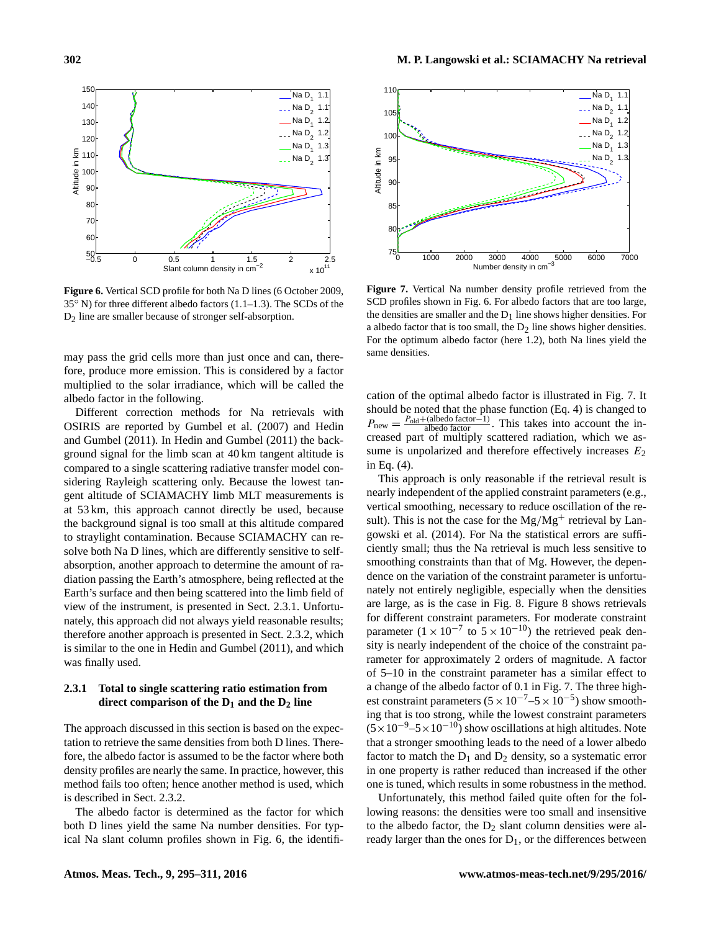<span id="page-7-1"></span>

**Figure 6.** Vertical SCD profile for both Na D lines (6 October 2009, 35◦ N) for three different albedo factors (1.1–1.3). The SCDs of the D<sub>2</sub> line are smaller because of stronger self-absorption.

may pass the grid cells more than just once and can, therefore, produce more emission. This is considered by a factor multiplied to the solar irradiance, which will be called the albedo factor in the following.

Different correction methods for Na retrievals with OSIRIS are reported by [Gumbel et al.](#page-15-6) [\(2007\)](#page-15-6) and [Hedin](#page-15-8) [and Gumbel](#page-15-8) [\(2011\)](#page-15-8). In [Hedin and Gumbel](#page-15-8) [\(2011\)](#page-15-8) the background signal for the limb scan at 40 km tangent altitude is compared to a single scattering radiative transfer model considering Rayleigh scattering only. Because the lowest tangent altitude of SCIAMACHY limb MLT measurements is at 53 km, this approach cannot directly be used, because the background signal is too small at this altitude compared to straylight contamination. Because SCIAMACHY can resolve both Na D lines, which are differently sensitive to selfabsorption, another approach to determine the amount of radiation passing the Earth's atmosphere, being reflected at the Earth's surface and then being scattered into the limb field of view of the instrument, is presented in Sect. [2.3.1.](#page-7-0) Unfortunately, this approach did not always yield reasonable results; therefore another approach is presented in Sect. [2.3.2,](#page-8-0) which is similar to the one in [Hedin and Gumbel](#page-15-8) [\(2011\)](#page-15-8), and which was finally used.

# <span id="page-7-0"></span>**2.3.1 Total to single scattering ratio estimation from direct comparison of the D<sup>1</sup> and the D<sup>2</sup> line**

The approach discussed in this section is based on the expectation to retrieve the same densities from both D lines. Therefore, the albedo factor is assumed to be the factor where both density profiles are nearly the same. In practice, however, this method fails too often; hence another method is used, which is described in Sect. [2.3.2.](#page-8-0)

The albedo factor is determined as the factor for which both D lines yield the same Na number densities. For typical Na slant column profiles shown in Fig. [6,](#page-7-1) the identifi-

<span id="page-7-2"></span>

**Figure 7.** Vertical Na number density profile retrieved from the SCD profiles shown in Fig. [6.](#page-7-1) For albedo factors that are too large, the densities are smaller and the  $D_1$  line shows higher densities. For a albedo factor that is too small, the  $D_2$  line shows higher densities. For the optimum albedo factor (here 1.2), both Na lines yield the same densities.

cation of the optimal albedo factor is illustrated in Fig. [7.](#page-7-2) It should be noted that the phase function (Eq. [4\)](#page-3-2) is changed to  $P_{\text{new}} = \frac{P_{\text{old}} + (\text{albedo factor}-1)}{\text{albedo factor}}$ . This takes into account the increased part of multiply scattered radiation, which we assume is unpolarized and therefore effectively increases  $E_2$ in Eq. [\(4\)](#page-3-2).

This approach is only reasonable if the retrieval result is nearly independent of the applied constraint parameters (e.g., vertical smoothing, necessary to reduce oscillation of the result). This is not the case for the  $Mg/Mg^+$  retrieval by [Lan](#page-15-0)[gowski et al.](#page-15-0) [\(2014\)](#page-15-0). For Na the statistical errors are sufficiently small; thus the Na retrieval is much less sensitive to smoothing constraints than that of Mg. However, the dependence on the variation of the constraint parameter is unfortunately not entirely negligible, especially when the densities are large, as is the case in Fig. [8.](#page-8-1) Figure [8](#page-8-1) shows retrievals for different constraint parameters. For moderate constraint parameter  $(1 \times 10^{-7} \text{ to } 5 \times 10^{-10})$  the retrieved peak density is nearly independent of the choice of the constraint parameter for approximately 2 orders of magnitude. A factor of 5–10 in the constraint parameter has a similar effect to a change of the albedo factor of 0.1 in Fig. [7.](#page-7-2) The three highest constraint parameters  $(5 \times 10^{-7} - 5 \times 10^{-5})$  show smoothing that is too strong, while the lowest constraint parameters  $(5 \times 10^{-9} - 5 \times 10^{-10})$  show oscillations at high altitudes. Note that a stronger smoothing leads to the need of a lower albedo factor to match the  $D_1$  and  $D_2$  density, so a systematic error in one property is rather reduced than increased if the other one is tuned, which results in some robustness in the method.

Unfortunately, this method failed quite often for the following reasons: the densities were too small and insensitive to the albedo factor, the  $D_2$  slant column densities were already larger than the ones for  $D_1$ , or the differences between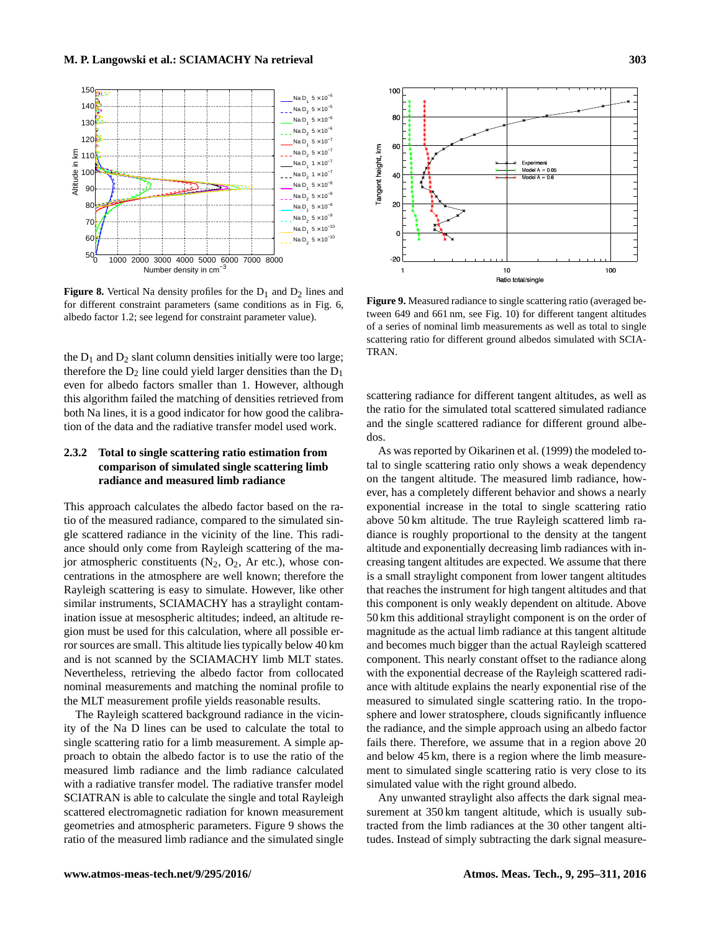<span id="page-8-1"></span>

**Figure 8.** Vertical Na density profiles for the  $D_1$  and  $D_2$  lines and for different constraint parameters (same conditions as in Fig. [6,](#page-7-1) albedo factor 1.2; see legend for constraint parameter value).

the  $D_1$  and  $D_2$  slant column densities initially were too large; therefore the  $D_2$  line could yield larger densities than the  $D_1$ even for albedo factors smaller than 1. However, although this algorithm failed the matching of densities retrieved from both Na lines, it is a good indicator for how good the calibration of the data and the radiative transfer model used work.

# <span id="page-8-0"></span>**2.3.2 Total to single scattering ratio estimation from comparison of simulated single scattering limb radiance and measured limb radiance**

This approach calculates the albedo factor based on the ratio of the measured radiance, compared to the simulated single scattered radiance in the vicinity of the line. This radiance should only come from Rayleigh scattering of the major atmospheric constituents  $(N_2, O_2, Ar$  etc.), whose concentrations in the atmosphere are well known; therefore the Rayleigh scattering is easy to simulate. However, like other similar instruments, SCIAMACHY has a straylight contamination issue at mesospheric altitudes; indeed, an altitude region must be used for this calculation, where all possible error sources are small. This altitude lies typically below 40 km and is not scanned by the SCIAMACHY limb MLT states. Nevertheless, retrieving the albedo factor from collocated nominal measurements and matching the nominal profile to the MLT measurement profile yields reasonable results.

The Rayleigh scattered background radiance in the vicinity of the Na D lines can be used to calculate the total to single scattering ratio for a limb measurement. A simple approach to obtain the albedo factor is to use the ratio of the measured limb radiance and the limb radiance calculated with a radiative transfer model. The radiative transfer model SCIATRAN is able to calculate the single and total Rayleigh scattered electromagnetic radiation for known measurement geometries and atmospheric parameters. Figure [9](#page-8-2) shows the ratio of the measured limb radiance and the simulated single

<span id="page-8-2"></span>

**Figure 9.** Measured radiance to single scattering ratio (averaged between 649 and 661 nm, see Fig. [10\)](#page-9-0) for different tangent altitudes of a series of nominal limb measurements as well as total to single scattering ratio for different ground albedos simulated with SCIA-TRAN.

scattering radiance for different tangent altitudes, as well as the ratio for the simulated total scattered simulated radiance and the single scattered radiance for different ground albedos.

As was reported by [Oikarinen et al.](#page-16-9) [\(1999\)](#page-16-9) the modeled total to single scattering ratio only shows a weak dependency on the tangent altitude. The measured limb radiance, however, has a completely different behavior and shows a nearly exponential increase in the total to single scattering ratio above 50 km altitude. The true Rayleigh scattered limb radiance is roughly proportional to the density at the tangent altitude and exponentially decreasing limb radiances with increasing tangent altitudes are expected. We assume that there is a small straylight component from lower tangent altitudes that reaches the instrument for high tangent altitudes and that this component is only weakly dependent on altitude. Above 50 km this additional straylight component is on the order of magnitude as the actual limb radiance at this tangent altitude and becomes much bigger than the actual Rayleigh scattered component. This nearly constant offset to the radiance along with the exponential decrease of the Rayleigh scattered radiance with altitude explains the nearly exponential rise of the measured to simulated single scattering ratio. In the troposphere and lower stratosphere, clouds significantly influence the radiance, and the simple approach using an albedo factor fails there. Therefore, we assume that in a region above 20 and below 45 km, there is a region where the limb measurement to simulated single scattering ratio is very close to its simulated value with the right ground albedo.

Any unwanted straylight also affects the dark signal measurement at 350 km tangent altitude, which is usually subtracted from the limb radiances at the 30 other tangent altitudes. Instead of simply subtracting the dark signal measure-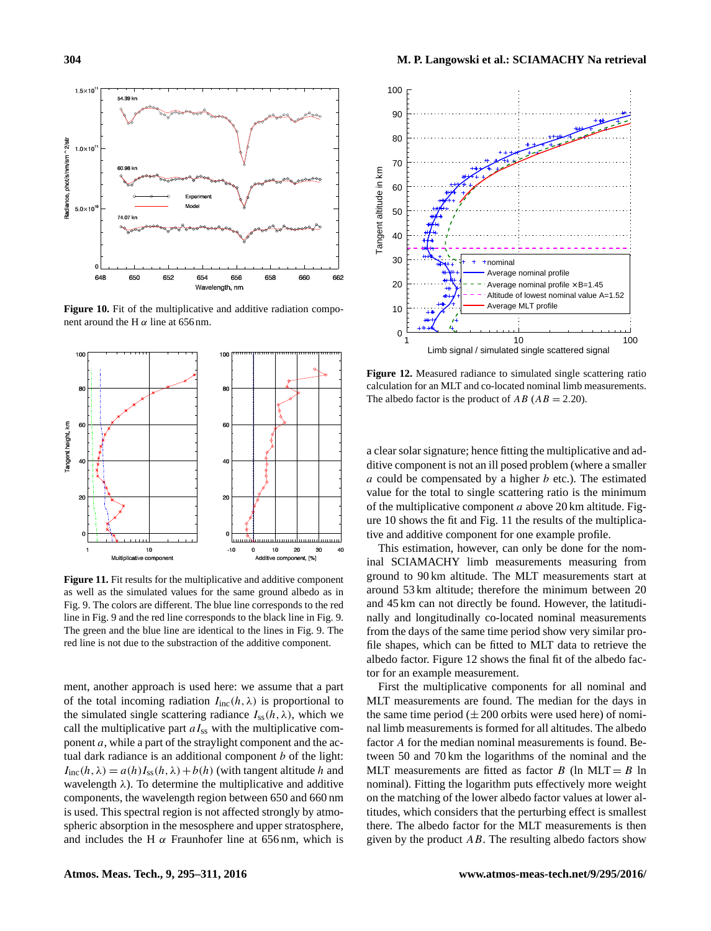<span id="page-9-0"></span>

**Figure 10.** Fit of the multiplicative and additive radiation component around the H  $\alpha$  line at 656 nm.

<span id="page-9-1"></span>

**Figure 11.** Fit results for the multiplicative and additive component as well as the simulated values for the same ground albedo as in Fig. [9.](#page-8-2) The colors are different. The blue line corresponds to the red line in Fig. [9](#page-8-2) and the red line corresponds to the black line in Fig. [9.](#page-8-2) The green and the blue line are identical to the lines in Fig. [9.](#page-8-2) The red line is not due to the substraction of the additive component.

ment, another approach is used here: we assume that a part of the total incoming radiation  $I_{\text{inc}}(h, \lambda)$  is proportional to the simulated single scattering radiance  $I_{ss}(h, \lambda)$ , which we call the multiplicative part  $aI_{ss}$  with the multiplicative component  $a$ , while a part of the straylight component and the actual dark radiance is an additional component  $b$  of the light:  $I_{\text{inc}}(h, \lambda) = a(h)I_{\text{ss}}(h, \lambda) + b(h)$  (with tangent altitude h and wavelength  $\lambda$ ). To determine the multiplicative and additive components, the wavelength region between 650 and 660 nm is used. This spectral region is not affected strongly by atmospheric absorption in the mesosphere and upper stratosphere, and includes the H  $\alpha$  Fraunhofer line at 656 nm, which is

<span id="page-9-2"></span>

**Figure 12.** Measured radiance to simulated single scattering ratio calculation for an MLT and co-located nominal limb measurements. The albedo factor is the product of  $AB$  ( $AB = 2.20$ ).

a clear solar signature; hence fitting the multiplicative and additive component is not an ill posed problem (where a smaller  $a$  could be compensated by a higher  $b$  etc.). The estimated value for the total to single scattering ratio is the minimum of the multiplicative component  $a$  above 20 km altitude. Figure [10](#page-9-0) shows the fit and Fig. [11](#page-9-1) the results of the multiplicative and additive component for one example profile.

This estimation, however, can only be done for the nominal SCIAMACHY limb measurements measuring from ground to 90 km altitude. The MLT measurements start at around 53 km altitude; therefore the minimum between 20 and 45 km can not directly be found. However, the latitudinally and longitudinally co-located nominal measurements from the days of the same time period show very similar profile shapes, which can be fitted to MLT data to retrieve the albedo factor. Figure [12](#page-9-2) shows the final fit of the albedo factor for an example measurement.

First the multiplicative components for all nominal and MLT measurements are found. The median for the days in the same time period  $(\pm 200$  orbits were used here) of nominal limb measurements is formed for all altitudes. The albedo factor A for the median nominal measurements is found. Between 50 and 70 km the logarithms of the nominal and the MLT measurements are fitted as factor  $B$  (ln MLT =  $B$  ln nominal). Fitting the logarithm puts effectively more weight on the matching of the lower albedo factor values at lower altitudes, which considers that the perturbing effect is smallest there. The albedo factor for the MLT measurements is then given by the product  $AB$ . The resulting albedo factors show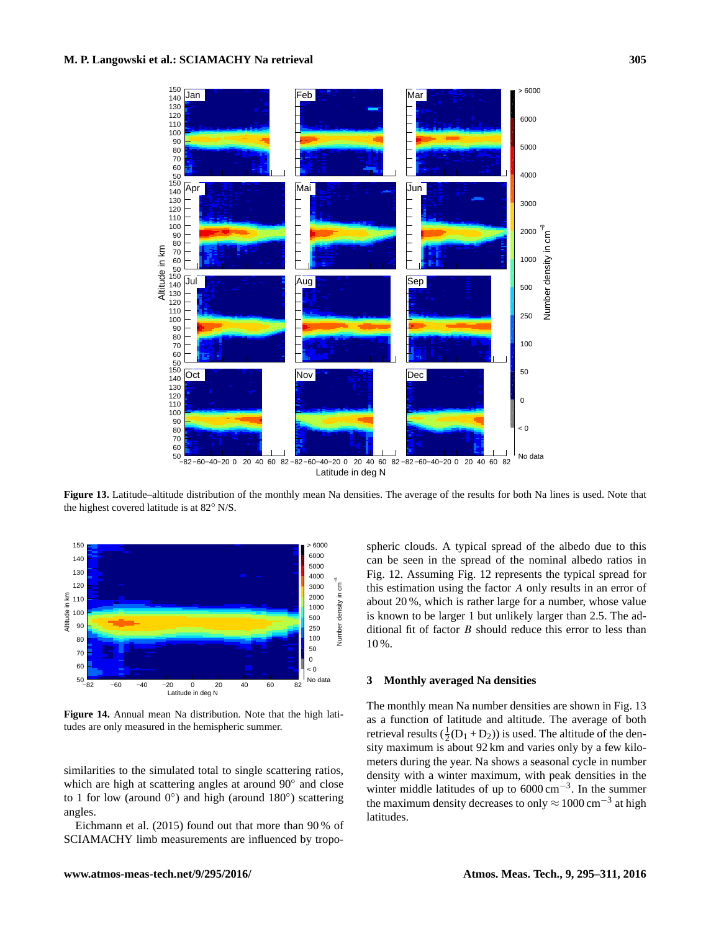<span id="page-10-1"></span>

**Figure 13.** Latitude–altitude distribution of the monthly mean Na densities. The average of the results for both Na lines is used. Note that the highest covered latitude is at 82◦ N/S.

<span id="page-10-2"></span>

**Figure 14.** Annual mean Na distribution. Note that the high latitudes are only measured in the hemispheric summer.

similarities to the simulated total to single scattering ratios, which are high at scattering angles at around 90° and close to 1 for low (around 0°) and high (around 180°) scattering angles.

[Eichmann et al.](#page-15-19) [\(2015\)](#page-15-19) found out that more than 90 % of SCIAMACHY limb measurements are influenced by tropospheric clouds. A typical spread of the albedo due to this can be seen in the spread of the nominal albedo ratios in Fig. [12.](#page-9-2) Assuming Fig. [12](#page-9-2) represents the typical spread for this estimation using the factor A only results in an error of about 20 %, which is rather large for a number, whose value is known to be larger 1 but unlikely larger than 2.5. The additional fit of factor  $B$  should reduce this error to less than 10 %.

#### <span id="page-10-0"></span>**3 Monthly averaged Na densities**

The monthly mean Na number densities are shown in Fig. [13](#page-10-1) as a function of latitude and altitude. The average of both retrieval results  $(\frac{1}{2}(D_1 + D_2))$  is used. The altitude of the density maximum is about 92 km and varies only by a few kilometers during the year. Na shows a seasonal cycle in number density with a winter maximum, with peak densities in the winter middle latitudes of up to 6000 cm<sup>-3</sup>. In the summer the maximum density decreases to only  $\approx 1000 \text{ cm}^{-3}$  at high latitudes.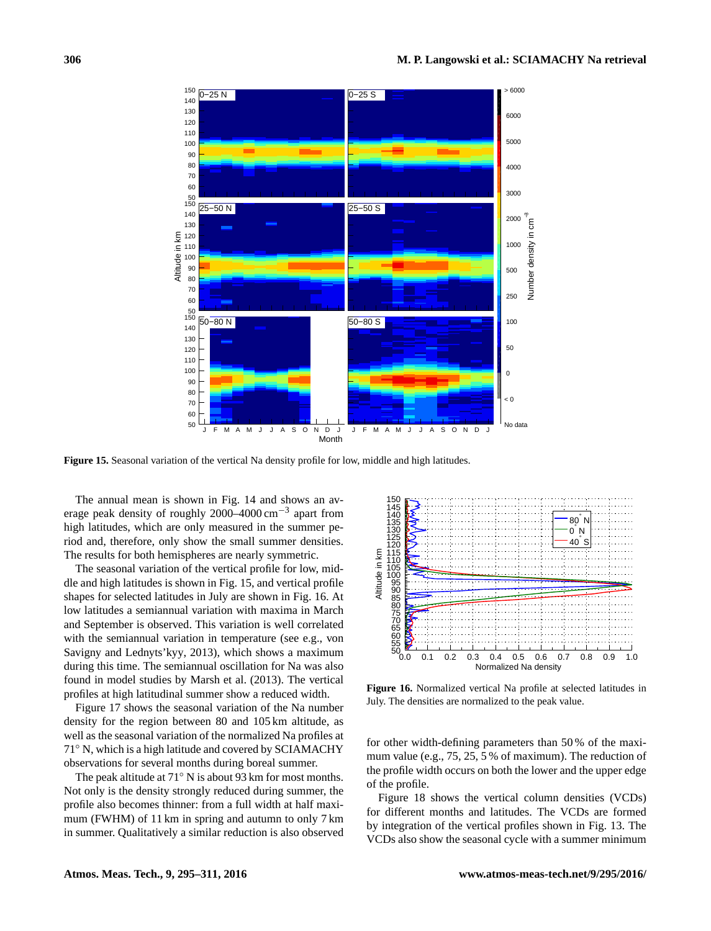<span id="page-11-0"></span>

**Figure 15.** Seasonal variation of the vertical Na density profile for low, middle and high latitudes.

The annual mean is shown in Fig. [14](#page-10-2) and shows an average peak density of roughly 2000–4000 cm−<sup>3</sup> apart from high latitudes, which are only measured in the summer period and, therefore, only show the small summer densities. The results for both hemispheres are nearly symmetric.

The seasonal variation of the vertical profile for low, middle and high latitudes is shown in Fig. [15,](#page-11-0) and vertical profile shapes for selected latitudes in July are shown in Fig. [16.](#page-11-1) At low latitudes a semiannual variation with maxima in March and September is observed. This variation is well correlated with the semiannual variation in temperature (see e.g., [von](#page-16-10) [Savigny and Lednyts'kyy,](#page-16-10) [2013\)](#page-16-10), which shows a maximum during this time. The semiannual oscillation for Na was also found in model studies by [Marsh et al.](#page-16-11) [\(2013\)](#page-16-11). The vertical profiles at high latitudinal summer show a reduced width.

Figure [17](#page-12-1) shows the seasonal variation of the Na number density for the region between 80 and 105 km altitude, as well as the seasonal variation of the normalized Na profiles at 71◦ N, which is a high latitude and covered by SCIAMACHY observations for several months during boreal summer.

The peak altitude at 71◦ N is about 93 km for most months. Not only is the density strongly reduced during summer, the profile also becomes thinner: from a full width at half maximum (FWHM) of 11 km in spring and autumn to only 7 km in summer. Qualitatively a similar reduction is also observed

<span id="page-11-1"></span>

**Figure 16.** Normalized vertical Na profile at selected latitudes in July. The densities are normalized to the peak value.

for other width-defining parameters than 50 % of the maximum value (e.g., 75, 25, 5 % of maximum). The reduction of the profile width occurs on both the lower and the upper edge of the profile.

Figure [18](#page-12-2) shows the vertical column densities (VCDs) for different months and latitudes. The VCDs are formed by integration of the vertical profiles shown in Fig. [13.](#page-10-1) The VCDs also show the seasonal cycle with a summer minimum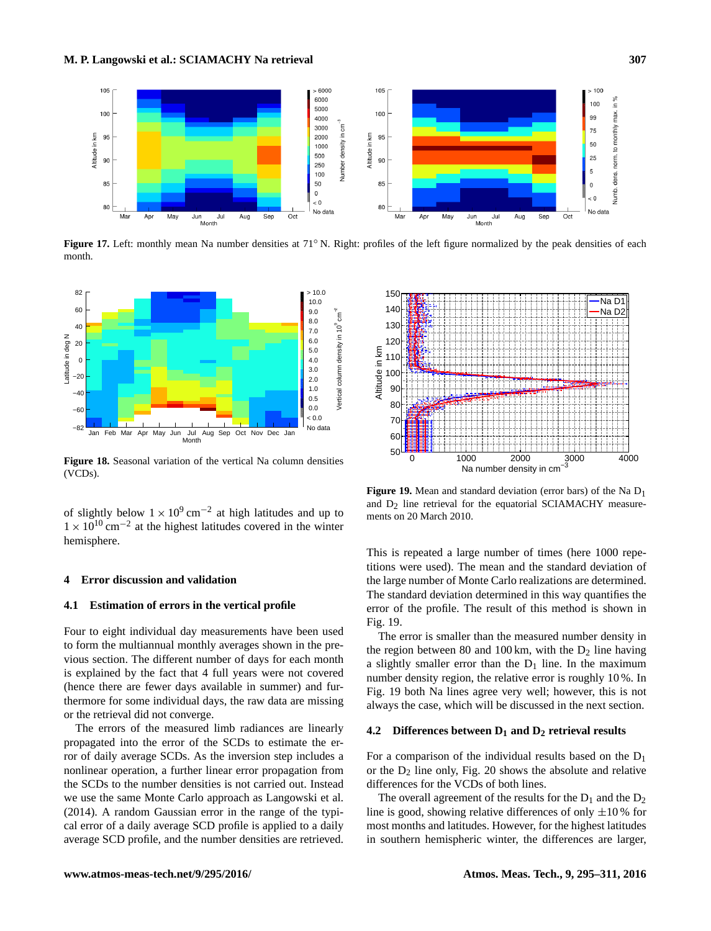<span id="page-12-1"></span>

**Figure 17.** Left: monthly mean Na number densities at 71<sup>°</sup> N. Right: profiles of the left figure normalized by the peak densities of each month.

<span id="page-12-2"></span>

**Figure 18.** Seasonal variation of the vertical Na column densities (VCDs).

of slightly below  $1 \times 10^{9}$  cm<sup>-2</sup> at high latitudes and up to  $1 \times 10^{10}$  cm<sup>-2</sup> at the highest latitudes covered in the winter hemisphere.

#### <span id="page-12-0"></span>**4 Error discussion and validation**

### **4.1 Estimation of errors in the vertical profile**

Four to eight individual day measurements have been used to form the multiannual monthly averages shown in the previous section. The different number of days for each month is explained by the fact that 4 full years were not covered (hence there are fewer days available in summer) and furthermore for some individual days, the raw data are missing or the retrieval did not converge.

The errors of the measured limb radiances are linearly propagated into the error of the SCDs to estimate the error of daily average SCDs. As the inversion step includes a nonlinear operation, a further linear error propagation from the SCDs to the number densities is not carried out. Instead we use the same Monte Carlo approach as [Langowski et al.](#page-15-0) [\(2014\)](#page-15-0). A random Gaussian error in the range of the typical error of a daily average SCD profile is applied to a daily average SCD profile, and the number densities are retrieved.

<span id="page-12-3"></span>

**Figure 19.** Mean and standard deviation (error bars) of the Na D1 and  $D_2$  line retrieval for the equatorial SCIAMACHY measurements on 20 March 2010.

This is repeated a large number of times (here 1000 repetitions were used). The mean and the standard deviation of the large number of Monte Carlo realizations are determined. The standard deviation determined in this way quantifies the error of the profile. The result of this method is shown in Fig. [19.](#page-12-3)

The error is smaller than the measured number density in the region between 80 and 100 km, with the  $D_2$  line having a slightly smaller error than the  $D_1$  line. In the maximum number density region, the relative error is roughly 10 %. In Fig. [19](#page-12-3) both Na lines agree very well; however, this is not always the case, which will be discussed in the next section.

## **4.2 Differences between D<sup>1</sup> and D<sup>2</sup> retrieval results**

For a comparison of the individual results based on the  $D_1$ or the  $D_2$  line only, Fig. [20](#page-13-0) shows the absolute and relative differences for the VCDs of both lines.

The overall agreement of the results for the  $D_1$  and the  $D_2$ line is good, showing relative differences of only  $\pm 10\%$  for most months and latitudes. However, for the highest latitudes in southern hemispheric winter, the differences are larger,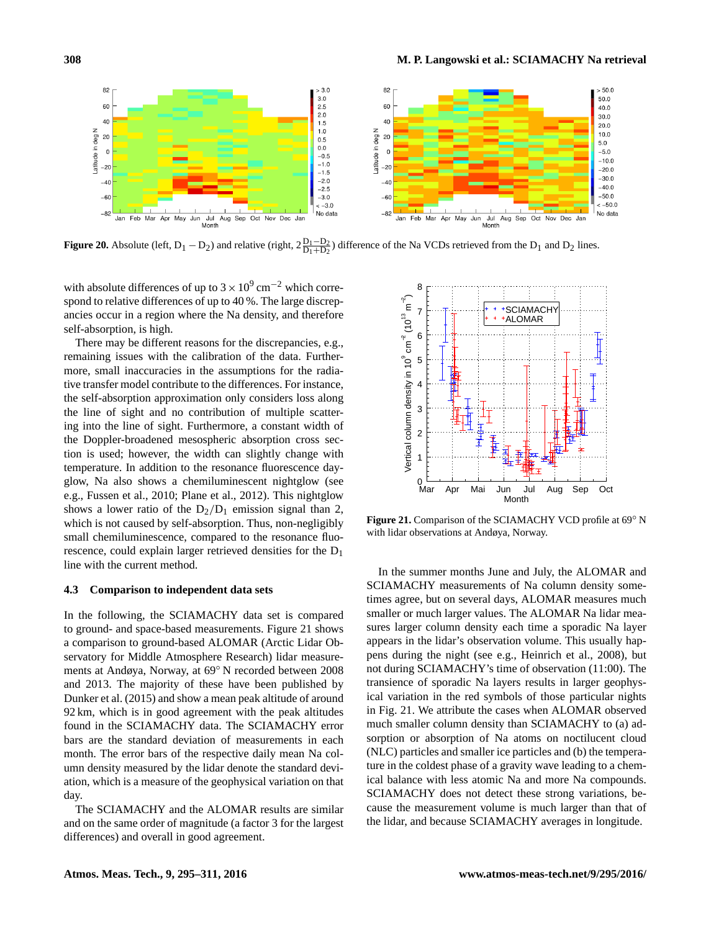<span id="page-13-0"></span>

**Figure 20.** Absolute (left,  $D_1 - D_2$ ) and relative (right,  $2\frac{D_1 - D_2}{D_1 + D_2}$ ) difference of the Na VCDs retrieved from the  $D_1$  and  $D_2$  lines.

with absolute differences of up to  $3 \times 10^9$  cm<sup>-2</sup> which correspond to relative differences of up to 40 %. The large discrepancies occur in a region where the Na density, and therefore self-absorption, is high.

There may be different reasons for the discrepancies, e.g., remaining issues with the calibration of the data. Furthermore, small inaccuracies in the assumptions for the radiative transfer model contribute to the differences. For instance, the self-absorption approximation only considers loss along the line of sight and no contribution of multiple scattering into the line of sight. Furthermore, a constant width of the Doppler-broadened mesospheric absorption cross section is used; however, the width can slightly change with temperature. In addition to the resonance fluorescence dayglow, Na also shows a chemiluminescent nightglow (see e.g., [Fussen et al.,](#page-15-10) [2010;](#page-15-10) [Plane et al.,](#page-16-12) [2012\)](#page-16-12). This nightglow shows a lower ratio of the  $D_2/D_1$  emission signal than 2, which is not caused by self-absorption. Thus, non-negligibly small chemiluminescence, compared to the resonance fluorescence, could explain larger retrieved densities for the D<sup>1</sup> line with the current method.

#### **4.3 Comparison to independent data sets**

In the following, the SCIAMACHY data set is compared to ground- and space-based measurements. Figure [21](#page-13-1) shows a comparison to ground-based ALOMAR (Arctic Lidar Observatory for Middle Atmosphere Research) lidar measurements at Andøya, Norway, at 69◦ N recorded between 2008 and 2013. The majority of these have been published by [Dunker et al.](#page-15-20) [\(2015\)](#page-15-20) and show a mean peak altitude of around 92 km, which is in good agreement with the peak altitudes found in the SCIAMACHY data. The SCIAMACHY error bars are the standard deviation of measurements in each month. The error bars of the respective daily mean Na column density measured by the lidar denote the standard deviation, which is a measure of the geophysical variation on that day.

The SCIAMACHY and the ALOMAR results are similar and on the same order of magnitude (a factor 3 for the largest differences) and overall in good agreement.

<span id="page-13-1"></span>

Figure 21. Comparison of the SCIAMACHY VCD profile at 69<sup>°</sup> N with lidar observations at Andøya, Norway.

In the summer months June and July, the ALOMAR and SCIAMACHY measurements of Na column density sometimes agree, but on several days, ALOMAR measures much smaller or much larger values. The ALOMAR Na lidar measures larger column density each time a sporadic Na layer appears in the lidar's observation volume. This usually happens during the night (see e.g., [Heinrich et al.,](#page-15-21) [2008\)](#page-15-21), but not during SCIAMACHY's time of observation (11:00). The transience of sporadic Na layers results in larger geophysical variation in the red symbols of those particular nights in Fig. [21.](#page-13-1) We attribute the cases when ALOMAR observed much smaller column density than SCIAMACHY to (a) adsorption or absorption of Na atoms on noctilucent cloud (NLC) particles and smaller ice particles and (b) the temperature in the coldest phase of a gravity wave leading to a chemical balance with less atomic Na and more Na compounds. SCIAMACHY does not detect these strong variations, because the measurement volume is much larger than that of the lidar, and because SCIAMACHY averages in longitude.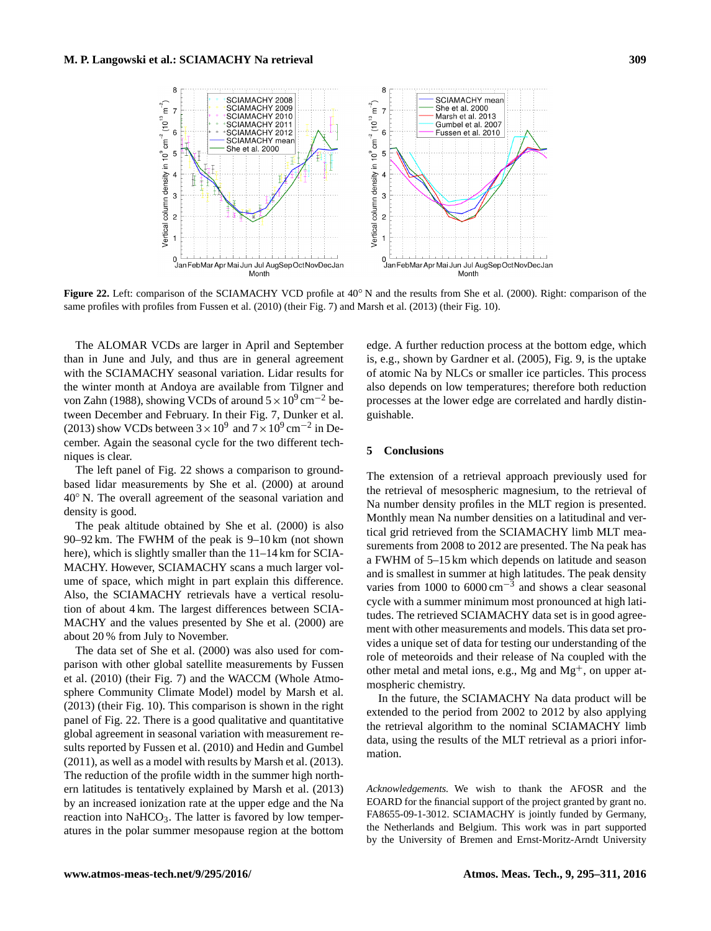<span id="page-14-1"></span>

**Figure 22.** Left: comparison of the SCIAMACHY VCD profile at 40◦ N and the results from [She et al.](#page-16-13) [\(2000\)](#page-16-13). Right: comparison of the same profiles with profiles from [Fussen et al.](#page-15-10) [\(2010\)](#page-15-10) (their Fig. 7) and [Marsh et al.](#page-16-11) [\(2013\)](#page-16-11) (their Fig. 10).

The ALOMAR VCDs are larger in April and September than in June and July, and thus are in general agreement with the SCIAMACHY seasonal variation. Lidar results for the winter month at Andoya are available from [Tilgner and](#page-16-14) [von Zahn](#page-16-14) [\(1988\)](#page-16-14), showing VCDs of around  $5 \times 10^9$  cm<sup>-2</sup> between December and February. In their Fig. 7, [Dunker et al.](#page-15-22) [\(2013\)](#page-15-22) show VCDs between  $3 \times 10^9$  and  $7 \times 10^9$  cm<sup>-2</sup> in December. Again the seasonal cycle for the two different techniques is clear.

The left panel of Fig. [22](#page-14-1) shows a comparison to groundbased lidar measurements by [She et al.](#page-16-13) [\(2000\)](#page-16-13) at around 40◦ N. The overall agreement of the seasonal variation and density is good.

The peak altitude obtained by [She et al.](#page-16-13) [\(2000\)](#page-16-13) is also 90–92 km. The FWHM of the peak is 9–10 km (not shown here), which is slightly smaller than the 11–14 km for SCIA-MACHY. However, SCIAMACHY scans a much larger volume of space, which might in part explain this difference. Also, the SCIAMACHY retrievals have a vertical resolution of about 4 km. The largest differences between SCIA-MACHY and the values presented by [She et al.](#page-16-13) [\(2000\)](#page-16-13) are about 20 % from July to November.

The data set of [She et al.](#page-16-13) [\(2000\)](#page-16-13) was also used for comparison with other global satellite measurements by [Fussen](#page-15-10) [et al.](#page-15-10) [\(2010\)](#page-15-10) (their Fig. 7) and the WACCM (Whole Atmosphere Community Climate Model) model by [Marsh et al.](#page-16-11) [\(2013\)](#page-16-11) (their Fig. 10). This comparison is shown in the right panel of Fig. [22.](#page-14-1) There is a good qualitative and quantitative global agreement in seasonal variation with measurement results reported by [Fussen et al.](#page-15-10) [\(2010\)](#page-15-10) and [Hedin and Gumbel](#page-15-8) [\(2011\)](#page-15-8), as well as a model with results by [Marsh et al.](#page-16-11) [\(2013\)](#page-16-11). The reduction of the profile width in the summer high northern latitudes is tentatively explained by [Marsh et al.](#page-16-11) [\(2013\)](#page-16-11) by an increased ionization rate at the upper edge and the Na reaction into  $NaHCO<sub>3</sub>$ . The latter is favored by low temperatures in the polar summer mesopause region at the bottom edge. A further reduction process at the bottom edge, which is, e.g., shown by [Gardner et al.](#page-15-23) [\(2005\)](#page-15-23), Fig. 9, is the uptake of atomic Na by NLCs or smaller ice particles. This process also depends on low temperatures; therefore both reduction processes at the lower edge are correlated and hardly distinguishable.

# <span id="page-14-0"></span>**5 Conclusions**

The extension of a retrieval approach previously used for the retrieval of mesospheric magnesium, to the retrieval of Na number density profiles in the MLT region is presented. Monthly mean Na number densities on a latitudinal and vertical grid retrieved from the SCIAMACHY limb MLT measurements from 2008 to 2012 are presented. The Na peak has a FWHM of 5–15 km which depends on latitude and season and is smallest in summer at high latitudes. The peak density varies from 1000 to  $6000 \text{ cm}^{-3}$  and shows a clear seasonal cycle with a summer minimum most pronounced at high latitudes. The retrieved SCIAMACHY data set is in good agreement with other measurements and models. This data set provides a unique set of data for testing our understanding of the role of meteoroids and their release of Na coupled with the other metal and metal ions, e.g., Mg and  $Mg<sup>+</sup>$ , on upper atmospheric chemistry.

In the future, the SCIAMACHY Na data product will be extended to the period from 2002 to 2012 by also applying the retrieval algorithm to the nominal SCIAMACHY limb data, using the results of the MLT retrieval as a priori information.

*Acknowledgements.* We wish to thank the AFOSR and the EOARD for the financial support of the project granted by grant no. FA8655-09-1-3012. SCIAMACHY is jointly funded by Germany, the Netherlands and Belgium. This work was in part supported by the University of Bremen and Ernst-Moritz-Arndt University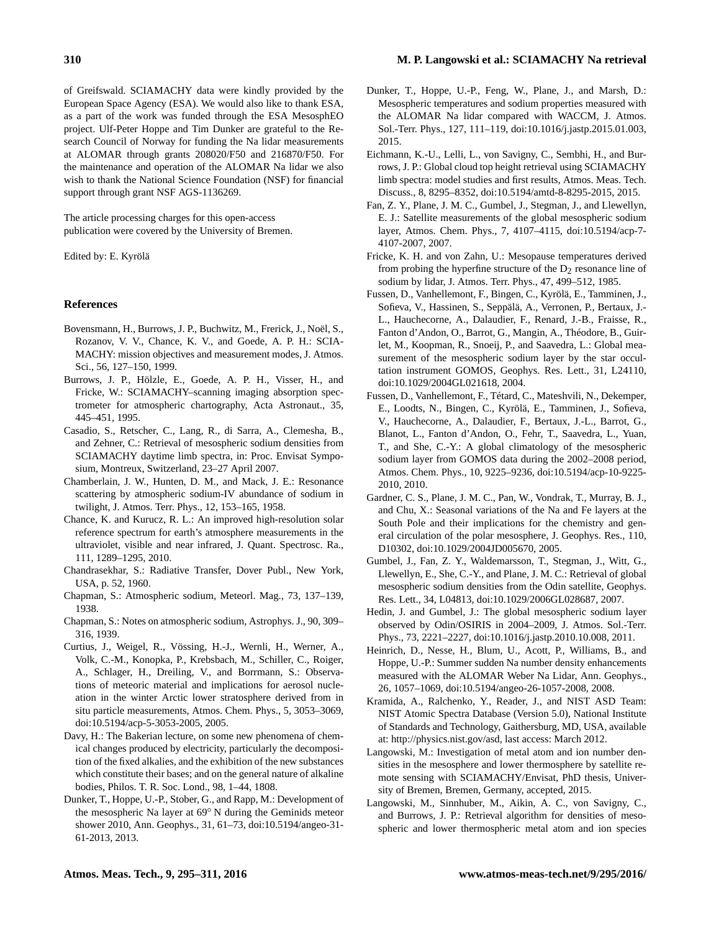of Greifswald. SCIAMACHY data were kindly provided by the European Space Agency (ESA). We would also like to thank ESA, as a part of the work was funded through the ESA MesosphEO project. Ulf-Peter Hoppe and Tim Dunker are grateful to the Research Council of Norway for funding the Na lidar measurements at ALOMAR through grants 208020/F50 and 216870/F50. For the maintenance and operation of the ALOMAR Na lidar we also wish to thank the National Science Foundation (NSF) for financial support through grant NSF AGS-1136269.

The article processing charges for this open-access publication were covered by the University of Bremen.

Edited by: E. Kyrölä

#### **References**

- <span id="page-15-12"></span>Bovensmann, H., Burrows, J. P., Buchwitz, M., Frerick, J., Noël, S., Rozanov, V. V., Chance, K. V., and Goede, A. P. H.: SCIA-MACHY: mission objectives and measurement modes, J. Atmos. Sci., 56, 127–150, 1999.
- <span id="page-15-11"></span>Burrows, J. P., Hölzle, E., Goede, A. P. H., Visser, H., and Fricke, W.: SCIAMACHY–scanning imaging absorption spectrometer for atmospheric chartography, Acta Astronaut., 35, 445–451, 1995.
- <span id="page-15-9"></span>Casadio, S., Retscher, C., Lang, R., di Sarra, A., Clemesha, B., and Zehner, C.: Retrieval of mesospheric sodium densities from SCIAMACHY daytime limb spectra, in: Proc. Envisat Symposium, Montreux, Switzerland, 23–27 April 2007.
- <span id="page-15-14"></span>Chamberlain, J. W., Hunten, D. M., and Mack, J. E.: Resonance scattering by atmospheric sodium-IV abundance of sodium in twilight, J. Atmos. Terr. Phys., 12, 153–165, 1958.
- <span id="page-15-15"></span>Chance, K. and Kurucz, R. L.: An improved high-resolution solar reference spectrum for earth's atmosphere measurements in the ultraviolet, visible and near infrared, J. Quant. Spectrosc. Ra., 111, 1289–1295, 2010.
- <span id="page-15-17"></span>Chandrasekhar, S.: Radiative Transfer, Dover Publ., New York, USA, p. 52, 1960.
- <span id="page-15-2"></span>Chapman, S.: Atmospheric sodium, Meteorl. Mag., 73, 137–139, 1938.
- <span id="page-15-3"></span>Chapman, S.: Notes on atmospheric sodium, Astrophys. J., 90, 309– 316, 1939.
- <span id="page-15-4"></span>Curtius, J., Weigel, R., Vössing, H.-J., Wernli, H., Werner, A., Volk, C.-M., Konopka, P., Krebsbach, M., Schiller, C., Roiger, A., Schlager, H., Dreiling, V., and Borrmann, S.: Observations of meteoric material and implications for aerosol nucleation in the winter Arctic lower stratosphere derived from in situ particle measurements, Atmos. Chem. Phys., 5, 3053–3069, doi[:10.5194/acp-5-3053-2005,](http://dx.doi.org/10.5194/acp-5-3053-2005) 2005.
- <span id="page-15-1"></span>Davy, H.: The Bakerian lecture, on some new phenomena of chemical changes produced by electricity, particularly the decomposition of the fixed alkalies, and the exhibition of the new substances which constitute their bases; and on the general nature of alkaline bodies, Philos. T. R. Soc. Lond., 98, 1–44, 1808.
- <span id="page-15-22"></span>Dunker, T., Hoppe, U.-P., Stober, G., and Rapp, M.: Development of the mesospheric Na layer at 69◦ N during the Geminids meteor shower 2010, Ann. Geophys., 31, 61–73, doi[:10.5194/angeo-31-](http://dx.doi.org/10.5194/angeo-31-61-2013) [61-2013,](http://dx.doi.org/10.5194/angeo-31-61-2013) 2013.
- <span id="page-15-20"></span>Dunker, T., Hoppe, U.-P., Feng, W., Plane, J., and Marsh, D.: Mesospheric temperatures and sodium properties measured with the ALOMAR Na lidar compared with WACCM, J. Atmos. Sol.-Terr. Phys., 127, 111–119, doi[:10.1016/j.jastp.2015.01.003,](http://dx.doi.org/10.1016/j.jastp.2015.01.003) 2015.
- <span id="page-15-19"></span>Eichmann, K.-U., Lelli, L., von Savigny, C., Sembhi, H., and Burrows, J. P.: Global cloud top height retrieval using SCIAMACHY limb spectra: model studies and first results, Atmos. Meas. Tech. Discuss., 8, 8295–8352, doi[:10.5194/amtd-8-8295-2015,](http://dx.doi.org/10.5194/amtd-8-8295-2015) 2015.
- <span id="page-15-7"></span>Fan, Z. Y., Plane, J. M. C., Gumbel, J., Stegman, J., and Llewellyn, E. J.: Satellite measurements of the global mesospheric sodium layer, Atmos. Chem. Phys., 7, 4107–4115, doi[:10.5194/acp-7-](http://dx.doi.org/10.5194/acp-7-4107-2007) [4107-2007,](http://dx.doi.org/10.5194/acp-7-4107-2007) 2007.
- <span id="page-15-18"></span>Fricke, K. H. and von Zahn, U.: Mesopause temperatures derived from probing the hyperfine structure of the  $D_2$  resonance line of sodium by lidar, J. Atmos. Terr. Phys., 47, 499–512, 1985.
- <span id="page-15-5"></span>Fussen, D., Vanhellemont, F., Bingen, C., Kyrölä, E., Tamminen, J., Sofieva, V., Hassinen, S., Seppälä, A., Verronen, P., Bertaux, J.- L., Hauchecorne, A., Dalaudier, F., Renard, J.-B., Fraisse, R., Fanton d'Andon, O., Barrot, G., Mangin, A., Théodore, B., Guirlet, M., Koopman, R., Snoeij, P., and Saavedra, L.: Global measurement of the mesospheric sodium layer by the star occultation instrument GOMOS, Geophys. Res. Lett., 31, L24110, doi[:10.1029/2004GL021618,](http://dx.doi.org/10.1029/2004GL021618) 2004.
- <span id="page-15-10"></span>Fussen, D., Vanhellemont, F., Tétard, C., Mateshvili, N., Dekemper, E., Loodts, N., Bingen, C., Kyrölä, E., Tamminen, J., Sofieva, V., Hauchecorne, A., Dalaudier, F., Bertaux, J.-L., Barrot, G., Blanot, L., Fanton d'Andon, O., Fehr, T., Saavedra, L., Yuan, T., and She, C.-Y.: A global climatology of the mesospheric sodium layer from GOMOS data during the 2002–2008 period, Atmos. Chem. Phys., 10, 9225–9236, doi[:10.5194/acp-10-9225-](http://dx.doi.org/10.5194/acp-10-9225-2010) [2010,](http://dx.doi.org/10.5194/acp-10-9225-2010) 2010.
- <span id="page-15-23"></span>Gardner, C. S., Plane, J. M. C., Pan, W., Vondrak, T., Murray, B. J., and Chu, X.: Seasonal variations of the Na and Fe layers at the South Pole and their implications for the chemistry and general circulation of the polar mesosphere, J. Geophys. Res., 110, D10302, doi[:10.1029/2004JD005670,](http://dx.doi.org/10.1029/2004JD005670) 2005.
- <span id="page-15-6"></span>Gumbel, J., Fan, Z. Y., Waldemarsson, T., Stegman, J., Witt, G., Llewellyn, E., She, C.-Y., and Plane, J. M. C.: Retrieval of global mesospheric sodium densities from the Odin satellite, Geophys. Res. Lett., 34, L04813, doi[:10.1029/2006GL028687,](http://dx.doi.org/10.1029/2006GL028687) 2007.
- <span id="page-15-8"></span>Hedin, J. and Gumbel, J.: The global mesospheric sodium layer observed by Odin/OSIRIS in 2004–2009, J. Atmos. Sol.-Terr. Phys., 73, 2221–2227, doi[:10.1016/j.jastp.2010.10.008,](http://dx.doi.org/10.1016/j.jastp.2010.10.008) 2011.
- <span id="page-15-21"></span>Heinrich, D., Nesse, H., Blum, U., Acott, P., Williams, B., and Hoppe, U.-P.: Summer sudden Na number density enhancements measured with the ALOMAR Weber Na Lidar, Ann. Geophys., 26, 1057–1069, doi[:10.5194/angeo-26-1057-2008,](http://dx.doi.org/10.5194/angeo-26-1057-2008) 2008.
- <span id="page-15-16"></span>Kramida, A., Ralchenko, Y., Reader, J., and NIST ASD Team: NIST Atomic Spectra Database (Version 5.0), National Institute of Standards and Technology, Gaithersburg, MD, USA, available at: [http://physics.nist.gov/asd,](http://physics.nist.gov/asd) last access: March 2012.
- <span id="page-15-13"></span>Langowski, M.: Investigation of metal atom and ion number densities in the mesosphere and lower thermosphere by satellite remote sensing with SCIAMACHY/Envisat, PhD thesis, University of Bremen, Bremen, Germany, accepted, 2015.
- <span id="page-15-0"></span>Langowski, M., Sinnhuber, M., Aikin, A. C., von Savigny, C., and Burrows, J. P.: Retrieval algorithm for densities of mesospheric and lower thermospheric metal atom and ion species